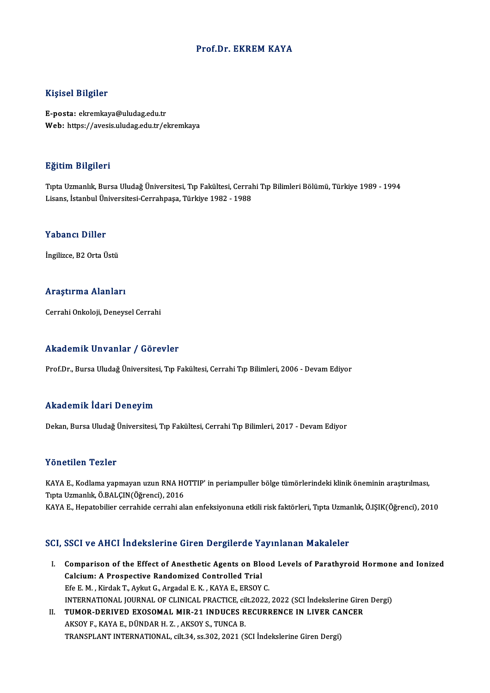### Prof.Dr. EKREM KAYA

### Kişisel Bilgiler

E-posta: ekremkaya@uludag.edu.tr Web: https://avesis.uludag.edu.tr/ekremkaya

### Eğitim Bilgileri

**Eğitim Bilgileri**<br>Tıpta Uzmanlık, Bursa Uludağ Üniversitesi, Tıp Fakültesi, Cerrahi Tıp Bilimleri Bölümü, Türkiye 1989 - 1994<br>Lisans, İstanbul Üniversitesi Cerrahnasa, Türkiye 1982, 1988 Lisanan Dargarora<br>Tıpta Uzmanlık, Bursa Uludağ Üniversitesi, Tıp Fakültesi, Cerral<br>Lisans, İstanbul Üniversitesi-Cerrahpaşa, Türkiye 1982 - 1988 Lisans, İstanbul Üniversitesi-Cerrahpaşa, Türkiye 1982 - 1988<br>Yabancı Diller

İngilizce, B2 Orta Üstü

### Araştırma Alanları

Cerrahi Onkoloji, Deneysel Cerrahi

### Akademik Unvanlar / Görevler

Prof.Dr., Bursa Uludağ Üniversitesi, Tıp Fakültesi, Cerrahi Tıp Bilimleri, 2006 - Devam Ediyor

### Akademik İdari Deneyim

Dekan, Bursa Uludağ Üniversitesi, Tıp Fakültesi, Cerrahi Tıp Bilimleri, 2017 - Devam Ediyor

### Yönetilen Tezler

Yönetilen Tezler<br>KAYA E., Kodlama yapmayan uzun RNA HOTTIP' in periampuller bölge tümörlerindeki klinik öneminin araştırılması,<br>Tinta Hamanlık Ö RALCIN(Öğrensi), 2016 TURUCHUN TURIST<br>KAYA E., Kodlama yapmayan uzun RNA H(<br>Tıpta Uzmanlık, Ö.BALÇIN(Öğrenci), 2016<br>KAVA E. Henatebilier serrebide serrebi alı Tıpta Uzmanlık, Ö.BALÇIN(Öğrenci), 2016<br>KAYA E., Hepatobilier cerrahide cerrahi alan enfeksiyonuna etkili risk faktörleri, Tıpta Uzmanlık, Ö.IŞIK(Öğrenci), 2010

### SCI, SSCI ve AHCI İndekslerine Giren Dergilerde Yayınlanan Makaleler

- CI, SSCI ve AHCI İndekslerine Giren Dergilerde Yayınlanan Makaleler<br>I. Comparison of the Effect of Anesthetic Agents on Blood Levels of Parathyroid Hormone and Ionized<br>Colsium: A Prespective Bandomired Controlled Trial Comparison of the Effect of Anesthetic Agents on Blogher<br>Calcium: A Prospective Randomized Controlled Trial<br>Ffe E M. Kirdek T. Arkut C. Argedel E K. KAYA E. ERSOV Calcium: A Prospective Randomized Controlled Trial<br>Efe E. M., Kirdak T., Aykut G., Argadal E. K., KAYA E., ERSOY C. Calcium: A Prospective Randomized Controlled Trial<br>Efe E. M. , Kirdak T., Aykut G., Argadal E. K. , KAYA E., ERSOY C.<br>INTERNATIONAL JOURNAL OF CLINICAL PRACTICE, cilt.2022, 2022 (SCI İndekslerine Giren Dergi)<br>TUMOR DERIVED Efe E. M., Kirdak T., Aykut G., Argadal E. K., KAYA E., ERSOY C.<br>INTERNATIONAL JOURNAL OF CLINICAL PRACTICE, cilt.2022, 2022 (SCI Indekslerine Gires<br>II. TUMOR-DERIVED EXOSOMAL MIR-21 INDUCES RECURRENCE IN LIVER CANCER<br>AVSO
- INTERNATIONAL JOURNAL OF CLINICAL PRACTICE, ci<mark>tumor-derived exosomal mir-21 induces r</mark><br>AKSOY F., KAYA E., DÜNDAR H. Z. , AKSOY S., TUNCA B.<br>TRANSPLANT INTERNATIONAL sik 24, 83,202, 2021 (S II. TUMOR-DERIVED EXOSOMAL MIR-21 INDUCES RECURRENCE IN LIVER CANCER<br>AKSOY F., KAYA E., DÜNDAR H. Z. , AKSOY S., TUNCA B.<br>TRANSPLANT INTERNATIONAL, cilt.34, ss.302, 2021 (SCI İndekslerine Giren Dergi)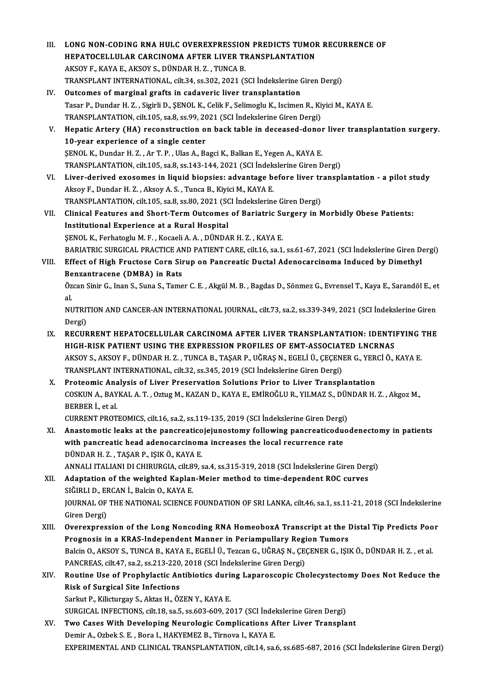LONG NON-CODING RNA HULC OVEREXPRESSION PREDICTS TUMOR<br>HEPATOCELLULAR CARCINOMA AFTER LIVER TRANSPLANTATION LONG NON-CODING RNA HULC OVEREXPRESSION<br>HEPATOCELLULAR CARCINOMA AFTER LIVER TI<br>AKSOY F., KAYA E., AKSOY S., DÜNDAR H. Z. , TUNCA B.<br>TRANSPLANT INTERNATIONAL Gil 24, G2 202, 2021 (S AKSOY F., KAYA E., AKSOY S., DÜNDAR H. Z. , TUNCA B.<br>TRANSPLANT INTERNATIONAL, cilt.34, ss.302, 2021 (SCI İndekslerine Giren Dergi) IV. Outcomes of marginal grafts in cadaveric liver transplantation TRANSPLANT INTERNATIONAL, cilt.34, ss.302, 2021 (SCI İndekslerine Giren Dergi)<br>Outcomes of marginal grafts in cadaveric liver transplantation<br>Tasar P., Dundar H. Z. , Sigirli D., ŞENOL K., Celik F., Selimoglu K., Iscimen R Outcomes of marginal grafts in cadaveric liver transplantation<br>Tasar P., Dundar H. Z. , Sigirli D., ŞENOL K., Celik F., Selimoglu K., Iscimen R., Kij<br>TRANSPLANTATION, cilt.105, sa.8, ss.99, 2021 (SCI İndekslerine Giren Der V. Hepatic Artery (HA) reconstruction on back table in deceased-donor liver transplantation surgery. TRANSPLANTATION, cilt.105, sa.8, ss.99, 2021 (SCI İndekslerine Giren Dergi) Hepatic Artery (HA) reconstruction on back table in deceased-donor<br>10-year experience of a single center<br>ŞENOL K., Dundar H. Z. , Ar T. P. , Ulas A., Bagci K., Balkan E., Yegen A., KAYA E.<br>TRANSPLANTATION silt 105, sa 8, s 10-year experience of a single center<br>ŞENOL K., Dundar H. Z. , Ar T. P. , Ulas A., Bagci K., Balkan E., Yegen A., KAYA E.<br>TRANSPLANTATION, cilt.105, sa.8, ss.143-144, 2021 (SCI İndekslerine Giren Dergi)<br>Liver derived exese VI. Liver-derived exosomes in liquid biopsies: advantage before liver transplantation - a pilot study Aksoy F., Dundar H. Z., Aksoy A. S., Tunca B., Kiyici M., KAYA E. Liver-derived exosomes in liquid biopsies: advantage before liver tr<br>Aksoy F., Dundar H. Z. , Aksoy A. S. , Tunca B., Kiyici M., KAYA E.<br>TRANSPLANTATION, cilt.105, sa.8, ss.80, 2021 (SCI İndekslerine Giren Dergi)<br>Clinical Aksoy F., Dundar H. Z. , Aksoy A. S. , Tunca B., Kiyici M., KAYA E.<br>TRANSPLANTATION, cilt.105, sa.8, ss.80, 2021 (SCI İndekslerine Giren Dergi)<br>VII. Clinical Features and Short-Term Outcomes of Bariatric Surgery in Morbidl TRANSPLANTATION, cilt.105, sa.8, ss.80, 2021 (SC<br>Clinical Features and Short-Term Outcomes<br>Institutional Experience at a Rural Hospital<br>SENOL K Ferhatogly M E Kogaeli A A DÜNDA Clinical Features and Short-Term Outcomes of Bariatric Sunstitutional Experience at a Rural Hospital<br>SENOL K., Ferhatoglu M. F. , Kocaeli A. A. , DÜNDAR H. Z. , KAYA E.<br>RAPIATRIC SURGICAL PRACTICE AND RATIENT CARE sitt 16 Institutional Experience at a Rural Hospital<br>ŞENOL K., Ferhatoglu M. F. , Kocaeli A. A. , DÜNDAR H. Z. , KAYA E.<br>BARIATRIC SURGICAL PRACTICE AND PATIENT CARE, cilt.16, sa.1, ss.61-67, 2021 (SCI İndekslerine Giren Dergi) SENOL K., Ferhatoglu M. F. , Kocaeli A. A. , DÜNDAR H. Z. , KAYA E.<br>BARIATRIC SURGICAL PRACTICE AND PATIENT CARE, cilt.16, sa.1, ss.61-67, 2021 (SCI İndekslerine Giren D.<br>VIII. Effect of High Fructose Corn Sirup on Pancrea BARIATRIC SURGICAL PRACTICE AN<br>Effect of High Fructose Corn Sii<br>Benzantracene (DMBA) in Rats<br>Özgen Sinin C. Jaan S. Sung S. Tame Effect of High Fructose Corn Sirup on Pancreatic Ductal Adenocarcinoma Induced by Dimethyl<br>Benzantracene (DMBA) in Rats<br>Özcan Sinir G., Inan S., Suna S., Tamer C. E. , Akgül M. B. , Bagdas D., Sönmez G., Evrensel T., Kaya **Be**<br>Öz<br>al. Özcan Sinir G., Inan S., Suna S., Tamer C. E. , Akgül M. B. , Bagdas D., Sönmez G., Evrensel T., Kaya E., Sarandöl E., et<br>al.<br>NUTRITION AND CANCER-AN INTERNATIONAL JOURNAL, cilt.73, sa.2, ss.339-349, 2021 (SCI İndekslerine al<br>NUTRI<sup>.</sup><br>Dergi)<br>PECUP NUTRITION AND CANCER-AN INTERNATIONAL JOURNAL, cilt.73, sa.2, ss.339-349, 2021 (SCI indekslerine Giren<br>Dergi)<br>IX. RECURRENT HEPATOCELLULAR CARCINOMA AFTER LIVER TRANSPLANTATION: IDENTIFYING THE<br>HICH BISK BATIENT USING THE Dergi)<br>RECURRENT HEPATOCELLULAR CARCINOMA AFTER LIVER TRANSPLANTATION: IDENTI<br>HIGH-RISK PATIENT USING THE EXPRESSION PROFILES OF EMT-ASSOCIATED LNCRNAS<br>AKSOV S. AKSOV E. DÜNDAR H.Z., TUNGA R. TASAR R. HÖRAS N. EGELLÜ, GEGE IX. RECURRENT HEPATOCELLULAR CARCINOMA AFTER LIVER TRANSPLANTATION: IDENTIFYING THE<br>HIGH-RISK PATIENT USING THE EXPRESSION PROFILES OF EMT-ASSOCIATED LNCRNAS<br>AKSOY S., AKSOY F., DÜNDAR H. Z. , TUNCA B., TAŞAR P., UĞRAŞ N., HIGH-RISK PATIENT USING THE EXPRESSION PROFILES OF EMT-ASSOCIAT<br>AKSOY S., AKSOY F., DÜNDAR H. Z. , TUNCA B., TAŞAR P., UĞRAŞ N., EGELİ Ü., ÇEÇENI<br>TRANSPLANT INTERNATIONAL, cilt.32, ss.345, 2019 (SCI İndekslerine Giren Derg AKSOY S., AKSOY F., DÜNDAR H. Z., TUNCA B., TAŞAR P., UĞRAŞ N., EGELİ Ü., ÇEÇENER G., YER<br>TRANSPLANT INTERNATIONAL, cilt.32, ss.345, 2019 (SCI İndekslerine Giren Dergi)<br>X. Proteomic Analysis of Liver Preservation Solutions COSKUN A., BAYKAL A. T. , Oztug M., KAZAN D., KAYA E., EMİROĞLU R., YILMAZ S., DÜNDAR H. Z. , Akgoz M.,<br>BERBER İ., et al. Proteomic Ana<br>COSKUN A., BAY<br>BERBER İ., et al.<br>CUPPENT PROT COSKUN A., BAYKAL A. T. , Oztug M., KAZAN D., KAYA E., EMİROĞLU R., YILMAZ S., DÜI<br>BERBER İ., et al.<br>CURRENT PROTEOMICS, cilt.16, sa.2, ss.119-135, 2019 (SCI İndekslerine Giren Dergi)<br>Anastamatia laaka at the nananastiasis XI. Anastomotic leaks at the pancreaticojejunostomy following pancreaticoduodenectomy in patients with pancreatic head adenocarcinoma increases the local recurrence rate CURRENT PROTEOMICS, cilt.16, sa.2, ss.119-135, 2019 (SCI İndekslerine Giren Dergi)<br>Anastomotic leaks at the pancreaticojejunostomy following pancreaticodu<br>with pancreatic head adenocarcinoma increases the local recurrence DÜNDARH.Z. ,TAŞARP., IŞIKÖ.,KAYAE. ANNALI ITALIANIDICHIRURGIA, cilt.89, sa.4, ss.315-319,2018 (SCI İndekslerineGirenDergi) XII. Adaptation of the weighted Kaplan-Meier method to time-dependent ROC curves SIĞIRLI D., ERCAN İ., Balcin O., KAYA E. Adaptation of the weighted Kaplan-Meier method to time-dependent ROC curves<br>SIĞIRLI D., ERCAN İ., Balcin O., KAYA E.<br>JOURNAL OF THE NATIONAL SCIENCE FOUNDATION OF SRI LANKA, cilt.46, sa.1, ss.11-21, 2018 (SCI İndekslerine<br> SIĞIRLI D., EF<br>JOURNAL OF<br>Giren Dergi)<br>Quorovnros JOURNAL OF THE NATIONAL SCIENCE FOUNDATION OF SRI LANKA, cilt.46, sa.1, ss.11-21, 2018 (SCI Indekslering<br>Giren Dergi)<br>XIII. Overexpression of the Long Noncoding RNA HomeoboxA Transcript at the Distal Tip Predicts Poor Giren Dergi)<br>Overexpression of the Long Noncoding RNA HomeoboxA Transcript at the l<br>Prognosis in a KRAS-Independent Manner in Periampullary Region Tumors<br>Pakin O, AKSOV S, TUNCA B, KAVA E, ECELLÜ TATGOD G, HÖRAS N, GECENER Overexpression of the Long Noncoding RNA HomeoboxA Transcript at the Distal Tip Predicts Poo<br>Prognosis in a KRAS-Independent Manner in Periampullary Region Tumors<br>Balcin O., AKSOY S., TUNCA B., KAYA E., EGELİ Ü., Tezcan G. Prognosis in a KRAS-Independent Manner in Periampullary Region Tumors<br>Balcin O., AKSOY S., TUNCA B., KAYA E., EGELİ Ü., Tezcan G., UĞRAŞ N., ÇEÇENER G., IŞIK Ö., DÜNDAR H. Z. , et al. Balcin O., AKSOY S., TUNCA B., KAYA E., EGELİ Ü., Tezcan G., UĞRAŞ N., ÇEÇENER G., IŞIK Ö., DÜNDAR H. Z. , et al.<br>PANCREAS, cilt.47, sa.2, ss.213-220, 2018 (SCI İndekslerine Giren Dergi)<br>XIV. Routine Use of Prophylactic An PANCREAS, cilt.47, sa.2, ss.213-220, 2018 (SCI Indekslerine Giren Dergi)<br>Routine Use of Prophylactic Antibiotics during Laparoscopic Ch<br>Risk of Surgical Site Infections<br>Sarkut P., Kilicturgay S., Aktas H., ÖZEN Y., KAYA E. Routine Use of Prophylactic Antibiotics duri:<br>Risk of Surgical Site Infections<br>Sarkut P., Kilicturgay S., Aktas H., ÖZEN Y., KAYA E.<br>SURCICAL INFECTIONS silt 19 sp.5 sp.603 600 36 Risk of Surgical Site Infections<br>Sarkut P., Kilicturgay S., Aktas H., ÖZEN Y., KAYA E.<br>SURGICAL INFECTIONS, cilt.18, sa.5, ss.603-609, 2017 (SCI İndekslerine Giren Dergi)<br>Ture Gases With Developing Neuvelogis Complications XV. Two Cases With Developing Neurologic Complications After Liver Transplant<br>Demir A., Ozbek S. E., Bora I., HAKYEMEZ B., Tirnova I., KAYA E. SURGICAL INFECTIONS, cilt.18, sa.5, ss.603-609, 2017 (SCI Inde<br>Two Cases With Developing Neurologic Complications A<br>Demir A., Ozbek S. E. , Bora I., HAKYEMEZ B., Tirnova I., KAYA E.<br>EXPERIMENTAL AND CLINICAL TRANSPLANTATIO

III. LONG NON-CODING RNA HULC OVEREXPRESSION PREDICTS TUMOR RECURRENCE OF

EXPERIMENTAL AND CLINICAL TRANSPLANTATION, cilt.14, sa.6, ss.685-687, 2016 (SCI İndekslerine Giren Dergi)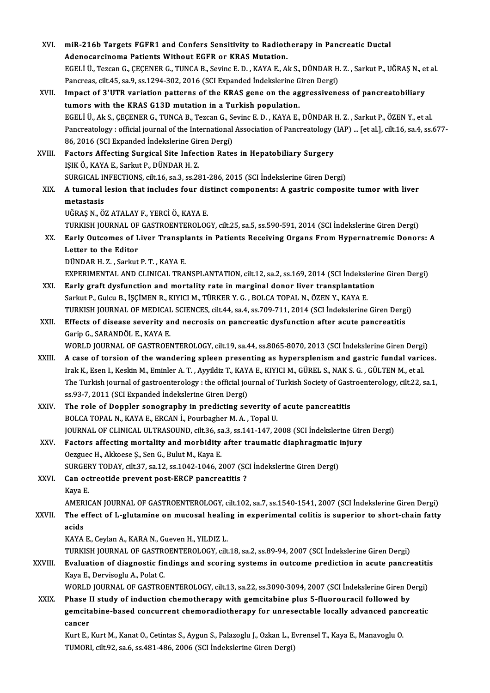XVI. miR-216b Targets FGFR1 and Confers Sensitivity to Radiotherapy in Pancreatic Ductal miR-216b Targets FGFR1 and Confers Sensitivity to Radiotl<br>Adenocarcinoma Patients Without EGFR or KRAS Mutation.<br>FCELLÜ TSESOR G CECENER G TUNCA B. Serins E.D., KAYA E. A. miR-216b Targets FGFR1 and Confers Sensitivity to Radiotherapy in Pancreatic Ductal<br>Adenocarcinoma Patients Without EGFR or KRAS Mutation.<br>EGELİ Ü., Tezcan G., ÇEÇENER G., TUNCA B., Sevinc E. D. , KAYA E., Ak S., DÜNDAR H. Adenocarcinoma Patients Without EGFR or KRAS Mutation.<br>EGELİ Ü., Tezcan G., CECENER G., TUNCA B., Sevinc E. D., KAYA E., Ak S., DÜNDAR H. Z. , Sarkut P., UĞRAS N., et al. XVII. Impact of 3'UTR variation patterns of the KRAS gene on the aggressiveness of pancreatobiliary<br>tumors with the KRAS G13D mutation in a Turkish population. Pancreas, cilt. 45, sa. 9, ss. 1294-302, 2016 (SCI Expanded Indekslerine Giren Dergi) Impact of 3'UTR variation patterns of the KRAS gene on the aggressiveness of pancreatobiliary<br>tumors with the KRAS G13D mutation in a Turkish population.<br>EGELİ Ü., Ak S., ÇEÇENER G., TUNCA B., Tezcan G., Sevinc E. D. , KAY Pancreatology : official journal of the International Association of Pancreatology (IAP) ... [et al.], cilt.16, sa.4, ss.677-EGELİ Ü., Ak S., ÇEÇENER G., TUNCA B., Tezcan G., S.<br>Pancreatology : official journal of the International<br>86, 2016 (SCI Expanded İndekslerine Giren Dergi)<br>Fastars Affecting Surgical Site Infection Bate XVIII. Factors Affecting Surgical Site Infection Rates in Hepatobiliary Surgery<br>ISIK Ö., KAYA E., Sarkut P., DÜNDAR H. Z. 86, 2016 (SCI Expanded İndekslerine Giren Dergi) SURGICAL INFECTIONS, cilt.16, sa.3, ss.281-286, 2015 (SCI İndekslerine Giren Dergi) IŞIK Ö., KAYA E., Sarkut P., DÜNDAR H. Z.<br>SURGICAL INFECTIONS, cilt.16, sa.3, ss.281-286, 2015 (SCI İndekslerine Giren Dergi)<br>XIX. A tumoral lesion that includes four distinct components: A gastric composite tumor with SURGICAL II<br><mark>A tumoral</mark> l<br>metastasis<br>UČPAS N. Ö metastasis<br>UĞRAŞ N., ÖZ ATALAY F., YERCİ Ö., KAYA E. TURKISH JOURNAL OF GASTROENTEROLOGY, cilt.25, sa.5, ss.590-591, 2014 (SCI İndekslerine Giren Dergi) UĞRAŞ N., ÖZ ATALAY F., YERCİ Ö., KAYA E.<br>TURKISH JOURNAL OF GASTROENTEROLOGY, cilt.25, sa.5, ss.590-591, 2014 (SCI İndekslerine Giren Dergi)<br>XX. Early Outcomes of Liver Transplants in Patients Receiving Organs From Hy TURKISH JOURNAL OF<br>Early Outcomes of L<br>Letter to the Editor<br>DÜNDAR H.Z., Sorkut Early Outcomes of Liver Transpl<br>Letter to the Editor<br>DÜNDAR H. Z. , Sarkut P. T. , KAYA E.<br>EXPERIMENTAL AND CLINICAL TRA Letter to the Editor<br>DÜNDAR H. Z. , Sarkut P. T. , KAYA E.<br>EXPERIMENTAL AND CLINICAL TRANSPLANTATION, cilt.12, sa.2, ss.169, 2014 (SCI İndekslerine Giren Dergi)<br>Farku graft dvefungtion and martality rata in marginal danar DÜNDAR H. Z., Sarkut P. T., KAYA E.<br>EXPERIMENTAL AND CLINICAL TRANSPLANTATION, cilt.12, sa.2, ss.169, 2014 (SCI İndeksleri<br>XXI. Barly graft dysfunction and mortality rate in marginal donor liver transplantation<br>Sarlar B. C EXPERIMENTAL AND CLINICAL TRANSPLANTATION, cilt.12, sa.2, ss.169, 2014 (SCI İndeksle<br>Early graft dysfunction and mortality rate in marginal donor liver transplantatio<br>Sarkut P., Gulcu B., İŞÇİMEN R., KIYICI M., TÜRKER Y. G Early graft dysfunction and mortality rate in marginal donor liver transplantation<br>Sarkut P., Gulcu B., İŞÇİMEN R., KIYICI M., TÜRKER Y. G. , BOLCA TOPAL N., ÖZEN Y., KAYA E.<br>TURKISH JOURNAL OF MEDICAL SCIENCES, cilt.44, s Sarkut P., Gulcu B., İŞÇİMEN R., KIYICI M., TÜRKER Y. G. , BOLCA TOPAL N., ÖZEN Y., KAYA E.<br>TURKISH JOURNAL OF MEDICAL SCIENCES, cilt.44, sa.4, ss.709-711, 2014 (SCI İndekslerine Giren Dergi<br>XXII. Effects of disease severi TURKISH JOURNAL OF MEDICAL<br>Effects of disease severity an<br>Garip G., SARANDÖL E., KAYA E.<br>WORLD JOURNAL OF CASTROFI Effects of disease severity and necrosis on pancreatic dysfunction after acute pancreatitis<br>Garip G., SARANDÖL E., KAYA E.<br>WORLD JOURNAL OF GASTROENTEROLOGY, cilt.19, sa.44, ss.8065-8070, 2013 (SCI İndekslerine Giren Dergi Garip G., SARANDÖL E., KAYA E.<br>WORLD JOURNAL OF GASTROENTEROLOGY, cilt.19, sa.44, ss.8065-8070, 2013 (SCI Indekslerine Giren Dergi)<br>XXIII. A case of torsion of the wandering spleen presenting as hypersplenism and gastric f WORLD JOURNAL OF GASTROENTEROLOGY, cilt.19, sa.44, ss.8065-8070, 2013 (SCI İndekslerine Giren Dergi<br>A case of torsion of the wandering spleen presenting as hypersplenism and gastric fundal vario<br>Irak K., Esen I., Keskin M. A case of torsion of the wandering spleen presenting as hypersplenism and gastric fundal varices.<br>Irak K., Esen I., Keskin M., Eminler A. T. , Ayyildiz T., KAYA E., KIYICI M., GÜREL S., NAK S. G. , GÜLTEN M., et al.<br>The Tu Irak K., Esen I., Keskin M., Eminler A. T. , Ayyildiz T., KAY.<br>The Turkish journal of gastroenterology : the official journals of paraded Indekslerine Giren Dergi) The Turkish journal of gastroenterology : the official journal of Turkish Society of Gast<br>ss.93-7, 2011 (SCI Expanded Indekslerine Giren Dergi)<br>XXIV. The role of Doppler sonography in predicting severity of acute pancreati ss.93-7, 2011 (SCI Expanded Indekslerine Giren Dergi)<br>The role of Doppler sonography in predicting severity of acute pancreatitis<br>BOLCA TOPAL N., KAYA E., ERCAN I., Pourbagher M. A. , Topal U. The role of Doppler sonography in predicting severity of acute pancreatitis<br>BOLCA TOPAL N., KAYA E., ERCAN İ., Pourbagher M. A. , Topal U.<br>JOURNAL OF CLINICAL ULTRASOUND, cilt.36, sa.3, ss.141-147, 2008 (SCI İndekslerine G BOLCA TOPAL N., KAYA E., ERCAN İ., Pourbagher M. A., Topal U.<br>JOURNAL OF CLINICAL ULTRASOUND, cilt.36, sa.3, ss.141-147, 2008 (SCI İndekslerine Gire<br>XXV. Factors affecting mortality and morbidity after traumatic diaphragma JOURNAL OF CLINICAL ULTRASOUND, cilt.36, sa<br>Factors affecting mortality and morbidity<br>Oezguec H., Akkoese Ş., Sen G., Bulut M., Kaya E.<br>SURCERY TODAY, silt.27, 20.12, 20.1042, 1046, 2 Factors affecting mortality and morbidity after traumatic diaphragmatic injury<br>Oezguec H., Akkoese Ş., Sen G., Bulut M., Kaya E. XXVI. Can octreotide prevent post-ERCP pancreatitis ? SURGERY TODAY, cilt.37, sa.12, ss.1042-1046, 2007 (SCI İndekslerine Giren Dergi) Can octreotide prevent post-ERCP pancreatitis ?<br>Kaya E.<br>AMERICAN JOURNAL OF GASTROENTEROLOGY, cilt.102, sa.7, ss.1540-1541, 2007 (SCI İndekslerine Giren Dergi)<br>The effect of Lalutamine en musesel beeling in evnerimental se Kaya E.<br>AMERICAN JOURNAL OF GASTROENTEROLOGY, cilt.102, sa.7, ss.1540-1541, 2007 (SCI İndekslerine Giren Dergi)<br>XXVII. The effect of L-glutamine on mucosal healing in experimental colitis is superior to short-chain fat **AMER<br>The e<br>acids** The effect of L-glutamine on mucosal healin<br>acids<br>KAYA E., Ceylan A., KARA N., Gueven H., YILDIZ L.<br>TURKISH JOURNAL OF CASTROENTEROLOCY silt acids<br>KAYA E., Ceylan A., KARA N., Gueven H., YILDIZ L.<br>TURKISH JOURNAL OF GASTROENTEROLOGY, cilt.18, sa.2, ss.89-94, 2007 (SCI İndekslerine Giren Dergi)<br>Fualustion of diagnostis findings and ssoring systems in outsome pro KAYA E., Ceylan A., KARA N., Gueven H., YILDIZ L.<br>TURKISH JOURNAL OF GASTROENTEROLOGY, cilt.18, sa.2, ss.89-94, 2007 (SCI İndekslerine Giren Dergi)<br>XXVIII. Braluation of diagnostic findings and scoring systems in outcome p TURKISH JOURNAL OF GASTRO<br><mark>Evaluation of diagnostic fir</mark><br>Kaya E., Dervisoglu A., Polat C.<br>WORLD JOURNAL OF CASTRO. Evaluation of diagnostic findings and scoring systems in outcome prediction in acute pancreatiti<br>Kaya E., Dervisoglu A., Polat C.<br>WORLD JOURNAL OF GASTROENTEROLOGY, cilt.13, sa.22, ss.3090-3094, 2007 (SCI İndekslerine Gire Kaya E., Dervisoglu A., Polat C.<br>WORLD JOURNAL OF GASTROENTEROLOGY, cilt.13, sa.22, ss.3090-3094, 2007 (SCI İndekslerine Giren Dergi)<br>XXIX. Phase II study of induction chemotherapy with gemcitabine plus 5-fluorouracil WORLD JOURNAL OF GASTROENTEROLOGY, cilt.13, sa.22, ss.3090-3094, 2007 (SCI İndekslerine Giren Dergi)<br>Phase II study of induction chemotherapy with gemcitabine plus 5-fluorouracil followed by<br>gemcitabine-based concurrent ch Phase I<br>gemcita<br>cancer<br><sup>Kunt E</sup> gemcitabine-based concurrent chemoradiotherapy for unresectable locally advanced pano<br>cancer<br>Kurt E., Kurt M., Kanat O., Cetintas S., Aygun S., Palazoglu J., Ozkan L., Evrensel T., Kaya E., Manavoglu O.<br>TUMOPL sit 93, sa 6 cancer<br>Kurt E., Kurt M., Kanat O., Cetintas S., Aygun S., Palazoglu J., Ozkan L., Evrensel T., Kaya E., Manavoglu O.<br>TUMORI, cilt.92, sa.6, ss.481-486, 2006 (SCI İndekslerine Giren Dergi)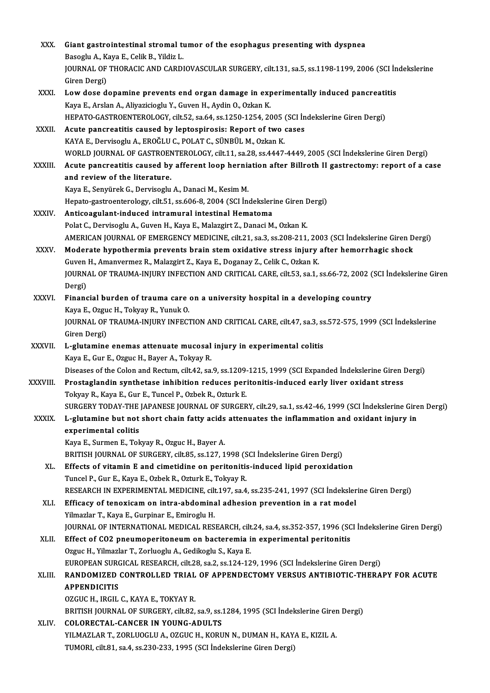| XXX.          | Giant gastrointestinal stromal tumor of the esophagus presenting with dyspnea                                                       |
|---------------|-------------------------------------------------------------------------------------------------------------------------------------|
|               | Basoglu A., Kaya E., Celik B., Yildiz L.                                                                                            |
|               | JOURNAL OF THORACIC AND CARDIOVASCULAR SURGERY, cilt.131, sa.5, ss.1198-1199, 2006 (SCI Indekslerine                                |
|               | Giren Dergi)                                                                                                                        |
| XXXI.         | Low dose dopamine prevents end organ damage in experimentally induced pancreatitis                                                  |
|               | Kaya E., Arslan A., Aliyazicioglu Y., Guven H., Aydin O., Ozkan K.                                                                  |
|               | HEPATO-GASTROENTEROLOGY, cilt.52, sa.64, ss.1250-1254, 2005 (SCI İndekslerine Giren Dergi)                                          |
| XXXII.        | Acute pancreatitis caused by leptospirosis: Report of two cases                                                                     |
|               | KAYA E., Dervisoglu A., EROĞLU C., POLAT C., SÜNBÜL M., Ozkan K.                                                                    |
|               | WORLD JOURNAL OF GASTROENTEROLOGY, cilt.11, sa.28, ss.4447-4449, 2005 (SCI İndekslerine Giren Dergi)                                |
| <b>XXXIII</b> | Acute pancreatitis caused by afferent loop herniation after Billroth II gastrectomy: report of a case                               |
|               | and review of the literature.                                                                                                       |
|               | Kaya E., Senyürek G., Dervisoglu A., Danaci M., Kesim M.                                                                            |
|               | Hepato-gastroenterology, cilt.51, ss.606-8, 2004 (SCI Indekslerine Giren Dergi)                                                     |
| XXXIV.        | Anticoagulant-induced intramural intestinal Hematoma                                                                                |
|               | Polat C., Dervisoglu A., Guven H., Kaya E., Malazgirt Z., Danaci M., Ozkan K.                                                       |
|               | AMERICAN JOURNAL OF EMERGENCY MEDICINE, cilt.21, sa.3, ss.208-211, 2003 (SCI Indekslerine Giren Dergi)                              |
| XXXV.         | Moderate hypothermia prevents brain stem oxidative stress injury after hemorrhagic shock                                            |
|               | Guven H., Amanvermez R., Malazgirt Z., Kaya E., Doganay Z., Celik C., Ozkan K.                                                      |
|               | JOURNAL OF TRAUMA-INJURY INFECTION AND CRITICAL CARE, cilt.53, sa.1, ss.66-72, 2002 (SCI Indekslerine Giren                         |
|               | Dergi)                                                                                                                              |
| XXXVI.        | Financial burden of trauma care on a university hospital in a developing country                                                    |
|               | Kaya E., Ozguc H., Tokyay R., Yunuk O.                                                                                              |
|               | JOURNAL OF TRAUMA-INJURY INFECTION AND CRITICAL CARE, cilt.47, sa.3, ss.572-575, 1999 (SCI İndekslerine<br>Giren Dergi)             |
| <b>XXXVII</b> | L-glutamine enemas attenuate mucosal injury in experimental colitis                                                                 |
|               | Kaya E., Gur E., Ozguc H., Bayer A., Tokyay R.                                                                                      |
|               | Diseases of the Colon and Rectum, cilt.42, sa.9, ss.1209-1215, 1999 (SCI Expanded Indekslerine Giren Dergi)                         |
| XXXVIII       | Prostaglandin synthetase inhibition reduces peritonitis-induced early liver oxidant stress                                          |
|               | Tokyay R., Kaya E., Gur E., Tuncel P., Ozbek R., Ozturk E.                                                                          |
|               | SURGERY TODAY-THE JAPANESE JOURNAL OF SURGERY, cilt.29, sa.1, ss.42-46, 1999 (SCI İndekslerine Giren Dergi)                         |
| <b>XXXIX</b>  | L-glutamine but not short chain fatty acids attenuates the inflammation and oxidant injury in                                       |
|               | experimental colitis                                                                                                                |
|               | Kaya E., Surmen E., Tokyay R., Ozguc H., Bayer A.                                                                                   |
|               | BRITISH JOURNAL OF SURGERY, cilt.85, ss.127, 1998 (SCI Indekslerine Giren Dergi)                                                    |
| XL.           | Effects of vitamin E and cimetidine on peritonitis-induced lipid peroxidation                                                       |
|               | Tuncel P., Gur E., Kaya E., Ozbek R., Ozturk E., Tokyay R.                                                                          |
|               | RESEARCH IN EXPERIMENTAL MEDICINE, cilt.197, sa.4, ss.235-241, 1997 (SCI İndekslerine Giren Dergi)                                  |
| XLI.          | Efficacy of tenoxicam on intra-abdominal adhesion prevention in a rat model                                                         |
|               | Yilmazlar T., Kaya E., Gurpinar E., Emiroglu H.                                                                                     |
|               | JOURNAL OF INTERNATIONAL MEDICAL RESEARCH, cilt.24, sa.4, ss.352-357, 1996 (SCI İndekslerine Giren Dergi)                           |
| XLII.         | Effect of CO2 pneumoperitoneum on bacteremia in experimental peritonitis                                                            |
|               | Ozguc H., Yilmazlar T., Zorluoglu A., Gedikoglu S., Kaya E.                                                                         |
|               | EUROPEAN SURGICAL RESEARCH, cilt.28, sa.2, ss.124-129, 1996 (SCI İndekslerine Giren Dergi)                                          |
| XLIII.        | RANDOMIZED CONTROLLED TRIAL OF APPENDECTOMY VERSUS ANTIBIOTIC-THERAPY FOR ACUTE                                                     |
|               | <b>APPENDICITIS</b>                                                                                                                 |
|               | OZGUC H., IRGIL C., KAYA E., TOKYAY R.                                                                                              |
| XLIV.         | BRITISH JOURNAL OF SURGERY, cilt.82, sa.9, ss.1284, 1995 (SCI Indekslerine Giren Dergi)<br><b>COLORECTAL-CANCER IN YOUNG-ADULTS</b> |
|               | YILMAZLAR T., ZORLUOGLU A., OZGUC H., KORUN N., DUMAN H., KAYA E., KIZIL A.                                                         |
|               | TUMORI, cilt.81, sa.4, ss.230-233, 1995 (SCI İndekslerine Giren Dergi)                                                              |
|               |                                                                                                                                     |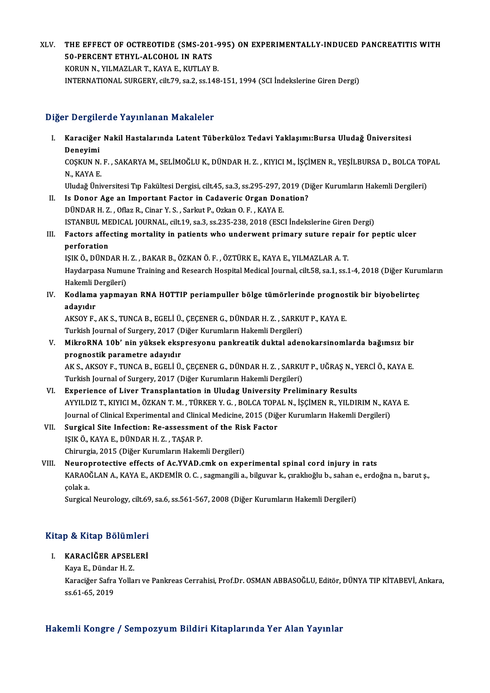XLV. THE EFFECT OF OCTREOTIDE (SMS-201-995) ON EXPERIMENTALLY-INDUCED PANCREATITIS WITH THE EFFECT OF OCTREOTIDE (SMS-201<br>50-PERCENT ETHYL-ALCOHOL IN RATS<br>KORUN N. VILMAZLAR T. KAYA E. KUTLAY I THE EFFECT OF OCTREOTIDE (SMS-201-9<br>50-PERCENT ETHYL-ALCOHOL IN RATS<br>KORUN N., YILMAZLAR T., KAYA E., KUTLAY B.<br>INTERNATIONAL SURCERY sit 70, 22, 22,148

50-PERCENT ETHYL-ALCOHOL IN RATS<br>KORUN N., YILMAZLAR T., KAYA E., KUTLAY B.<br>INTERNATIONAL SURGERY, cilt.79, sa.2, ss.148-151, 1994 (SCI İndekslerine Giren Dergi)

### Diğer Dergilerde Yayınlanan Makaleler

iğer Dergilerde Yayınlanan Makaleler<br>I. Karaciğer Nakil Hastalarında Latent Tüberküloz Tedavi Yaklaşımı:Bursa Uludağ Üniversitesi<br>Denevimi r Dergird<br>Karaciğer<br>Deneyimi Karaciğer Nakil Hastalarında Latent Tüberküloz Tedavi Yaklaşımı:Bursa Uludağ Üniversitesi<br>Deneyimi<br>COŞKUN N. F. , SAKARYA M., SELİMOĞLU K., DÜNDAR H. Z. , KIYICI M., İŞÇİMEN R., YEŞİLBURSA D., BOLCA TOPAL<br>N. KAYA F Deneyimi<br>COŞKUN N.<br>N., KAYA E.<br>Uludeğ Üni COŞKUN N. F. , SAKARYA M., SELİMOĞLU K., DÜNDAR H. Z. , KIYICI M., İŞÇİMEN R., YEŞİLBURSA D., BOLCA TOI<br>N., KAYA E.<br>Uludağ Üniversitesi Tıp Fakültesi Dergisi, cilt.45, sa.3, ss.295-297, 2019 (Diğer Kurumların Hakemli Dergi N., KAYA E.<br>Uludağ Üniversitesi Tıp Fakültesi Dergisi, cilt.45, sa.3, ss.295-297, 2019 (D<br>II. Is Donor Age an Important Factor in Cadaveric Organ Donation?<br>DÜNDAR H. Z. , Oflaz R., Cinar Y. S. , Sarkut P., Ozkan O. F. , KA Uludağ Üniversitesi Tıp Fakültesi Dergisi, cilt.45, sa.3, ss.295-297, 2019 (Diğer Kurumların Hakemli Dergileri) ISTANBUL MEDICAL JOURNAL, cilt.19, sa.3, ss.235-238, 2018 (ESCI İndekslerine Giren Dergi) DÜNDAR H. Z. , Oflaz R., Cinar Y. S. , Sarkut P., Ozkan O. F. , KAYA E.<br>ISTANBUL MEDICAL JOURNAL, cilt.19, sa.3, ss.235-238, 2018 (ESCI İndekslerine Giren Dergi)<br>III. Factors affecting mortality in patients who underwen

## **ISTANBUL ME<br>Factors affer<br>perforation<br>ISIZ Ö. DÜND** Factors affecting mortality in patients who underwent primary suture repa<br>perforation<br>IŞIK Ö., DÜNDAR H. Z. , BAKAR B., ÖZKAN Ö. F. , ÖZTÜRK E., KAYA E., YILMAZLAR A. T.<br>Havdarness Numune Training and Bessersk Hespital Med

perforation<br>IŞIK Ö., DÜNDAR H. Z. , BAKAR B., ÖZKAN Ö. F. , ÖZTÜRK E., KAYA E., YILMAZLAR A. T.<br>Haydarpasa Numune Training and Research Hospital Medical Journal, cilt.58, sa.1, ss.1-4, 2018 (Diğer Kurumların<br>Hakemli Dergil ISIK Ö., DÜNDAR H. Z., BAKAR B., ÖZKAN Ö. F., ÖZTÜRK E., KAYA E., YILMAZLAR A. T. Haydarpasa Numune Training and Research Hospital Medical Journal, cilt.58, sa.1, ss.1-4, 2018 (Diğer Kuru<br>Hakemli Dergileri)<br>IV. Kodlama yapmayan RNA HOTTIP periampuller bölge tümörlerinde prognostik bir biyobelirteç<br>adamd

## Hakemli <mark>I</mark><br>**Kodlama**<br>adayıdır<br>AKSOV E Kodlama yapmayan RNA HOTTIP periampuller bölge tümörlerinde prognos<br>adayıdır<br>AKSOY F., AK S., TUNCA B., EGELİ Ü., ÇEÇENER G., DÜNDAR H. Z. , SARKUT P., KAYA E.<br>Turkish Journal of Surgery, 2017 (Diğer Kurumların Hakemli Der

adayıdır<br>AKSOY F., AK S., TUNCA B., EGELİ Ü., ÇEÇENER G., DÜNDAR H. Z. , SARKUT P., KAYA E.<br>Turkish Journal of Surgery, 2017 (Diğer Kurumların Hakemli Dergileri)

AKSOY F., AK S., TUNCA B., EGELİ Ü., ÇEÇENER G., DÜNDAR H. Z. , SARKUT P., KAYA E.<br>Turkish Journal of Surgery, 2017 (Diğer Kurumların Hakemli Dergileri)<br>V. MikroRNA 10b' nin yüksek ekspresyonu pankreatik duktal adenoka Turkish Journal of Surgery, 2017 (I<br>MikroRNA 10b' nin yüksek eksp<br>prognostik parametre adayıdır<br>AKS AKSOVE TINCA B. ECELLÜ MikroRNA 10b' nin yüksek ekspresyonu pankreatik duktal adenokarsinomlarda bağımsız bir<br>prognostik parametre adayıdır<br>AK S., AKSOY F., TUNCA B., EGELİ Ü., ÇEÇENER G., DÜNDAR H. Z. , SARKUT P., UĞRAŞ N., YERCİ Ö., KAYA E.<br>Tu

prognostik parametre adayıdır<br>AK S., AKSOY F., TUNCA B., EGELİ Ü., ÇEÇENER G., DÜNDAR H. Z. , SARKUT P., UĞRAŞ N., YERCİ Ö., KAYA E.<br>Turkish Journal of Surgery, 2017 (Diğer Kurumların Hakemli Dergileri)

- VI. Experience of Liver Transplantation in Uludag University Preliminary Results Turkish Journal of Surgery, 2017 (Diğer Kurumların Hakemli Dergileri)<br><mark>Experience of Liver Transplantation in Uludag University Preliminary Results</mark><br>AYYILDIZ T., KIYICI M., ÖZKAN T. M. , TÜRKER Y. G. , BOLCA TOPAL N., İŞÇİ Experience of Liver Transplantation in Uludag University Preliminary Results<br>AYYILDIZ T., KIYICI M., ÖZKAN T. M. , TÜRKER Y. G. , BOLCA TOPAL N., İŞÇİMEN R., YILDIRIM N., KA<br>Journal of Clinical Experimental and Clinical Me Journal of Clinical Experimental and Clinical Medicine, 2015 (Diğer Kurumların Hakemli Dergileri)<br>VII. Surgical Site Infection: Re-assessment of the Risk Factor
- IŞIKÖ.,KAYAE.,DÜNDARH.Z. ,TAŞARP. Chirurgia, 2015 (Diğer Kurumların Hakemli Dergileri) IŞIK Ö., KAYA E., DÜNDAR H. Z. , TAŞAR P.<br>Chirurgia, 2015 (Diğer Kurumların Hakemli Dergileri)<br>VIII. Neuroprotective effects of Ac.YVAD.cmk on experimental spinal cord injury in rats<br>KABAQČLAN A. KAYA E. AKDEMİB O. G. Saxm
- KARAOĞLAN A., KAYA E., AKDEMİR O. C. , sagmangili a., bilguvar k., çıraklıoğlu b., sahan e., erdoğna n., barut ş.,<br>colak a. Neurop<br>KARAO<br>çolak a.<br>Surgical

Surgical Neurology, cilt.69, sa.6, ss.561-567, 2008 (Diğer Kurumların Hakemli Dergileri)

# surgical Neurology, cht.65<br>Kitap & Kitap Bölümleri **Itap & Kitap Bölümleri**<br>I. KARACİĞER APSELERİ<br>Kava E. Dündar H. Z

## I. KARACİĞER APSELERİ<br>Kaya E., Dündar H. Z.

KARACİĞER APSELERİ<br>Kaya E., Dündar H. Z.<br>Karaciğer Safra Yolları ve Pankreas Cerrahisi, Prof.Dr. OSMAN ABBASOĞLU, Editör, DÜNYA TIP KİTABEVİ, Ankara, Kaya E., Dündaı<br>Karaciğer Safra<br>ss.61-65, 2019

# ss.61-65, 2019<br>Hakemli Kongre / Sempozyum Bildiri Kitaplarında Yer Alan Yayınlar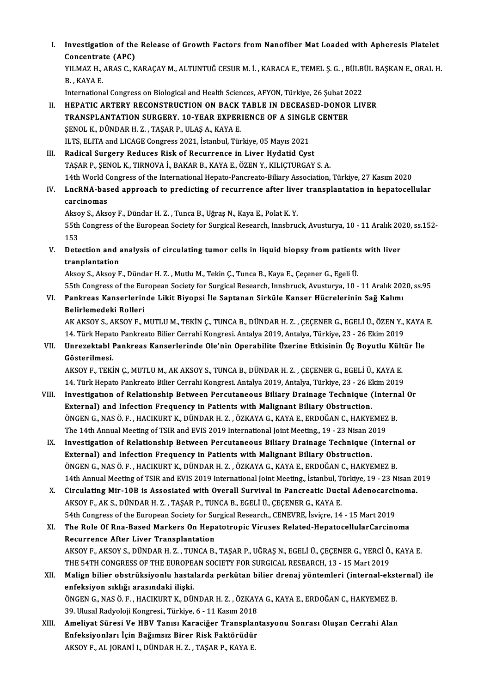I. Investigation of the Release of Growth Factors from Nanofiber Mat Loaded with Apheresis Platelet<br>Consentrate (APC) Investigation of the<br>Concentrate (APC)<br>VILMAZ H ARAS C V Investigation of the Release of Growth Factors from Nanofiber Mat Loaded with Apheresis Platelet<br>Concentrate (APC)<br>YILMAZ H., ARAS C., KARAÇAY M., ALTUNTUĞ CESUR M. İ. , KARACA E., TEMEL Ş. G. , BÜLBÜL BAŞKAN E., ORAL H.<br>B

Concentrat<br>YILMAZ H., .<br>B. , KAYA E.<br>Internations YILMAZ H., ARAS C., KARAÇAY M., ALTUNTUĞ CESUR M. İ. , KARACA E., TEMEL Ş. G. , BÜLB<br>B. , KAYA E.<br>International Congress on Biological and Health Sciences, AFYON, Türkiye, 26 Şubat 2022<br>HERATIC ARTERY RECONSTRUCTION ON RAC

B. , KAYA E.<br>International Congress on Biological and Health Sciences, AFYON, Türkiye, 26 Şubat 2022<br>II. HEPATIC ARTERY RECONSTRUCTION ON BACK TABLE IN DECEASED-DONOR LIVER

- International Congress on Biological and Health Sciences, AFYON, Türkiye, 26 Şubat 2022<br>HEPATIC ARTERY RECONSTRUCTION ON BACK TABLE IN DECEASED-DONOR LIV<br>TRANSPLANTATION SURGERY. 10-YEAR EXPERIENCE OF A SINGLE CENTER<br>SENOL HEPATIC ARTERY RECONSTRUCTION ON BACK<br>TRANSPLANTATION SURGERY. 10-YEAR EXPER<br>ŞENOL K., DÜNDAR H. Z. , TAŞAR P., ULAŞ A., KAYA E.<br>U.TS. ELITA and LICACE Cargress 2021, İstanbul Tür TRANSPLANTATION SURGERY. 10-YEAR EXPERIENCE OF A SINGL.<br>ŞENOL K., DÜNDAR H. Z. , TAŞAR P., ULAŞ A., KAYA E.<br>ILTS, ELITA and LICAGE Congress 2021, İstanbul, Türkiye, 05 Mayıs 2021<br>Padisal Surgary Paduses Pisk of Basurransa
- SENOL K., DÜNDAR H. Z., TAŞAR P., ULAŞ A., KAYA E.<br>ILTS, ELITA and LICAGE Congress 2021, İstanbul, Türkiye, 05 Mayıs 2021<br>III. Radical Surgery Reduces Risk of Recurrence in Liver Hydatid Cyst<br>TASAR R. SENOL K. TIRNOVA İ. R ILTS, ELITA and LICAGE Congress 2021, İstanbul, Türkiye, 05 Mayıs 2021<br>Radical Surgery Reduces Risk of Recurrence in Liver Hydatid Cyst<br>TAŞAR P., ŞENOL K., TIRNOVA İ., BAKAR B., KAYA E., ÖZEN Y., KILIÇTURGAY S. A.<br>14th Wor 195 TAŞAR P., ŞENOL K., TIRNOVA İ., BAKAR B., KAYA E., ÖZEN Y., KILIÇTURGAY S. A.<br>14th World Congress of the International Hepato-Pancreato-Biliary Association, Türkiye, 27 Kasım 2020 TAŞAR P., ŞENOL K., TIRNOVA İ., BAKAR B., KAYA E., ÖZEN Y., KILIÇTURGAY S. A.<br>14th World Congress of the International Hepato-Pancreato-Biliary Association, Türkiye, 27 Kasım 2020<br>IV. LncRNA-based approach to predictin
- 14th World C<br>**LncRNA-bas**<br>carcinomas<br><sup>Alroov S</sup>. <sup>Alroo</sup> LncRNA-based approach to predicting of recurrence after live<br>carcinomas<br>Aksoy S., Aksoy F., Dündar H. Z. , Tunca B., Uğraş N., Kaya E., Polat K. Y.<br>EEth Congress of the Euroneen Society for Surgical Bossarsh, Innshru.

carcinomas<br>Aksoy S., Aksoy F., Dündar H. Z. , Tunca B., Uğraş N., Kaya E., Polat K. Y.<br>55th Congress of the European Society for Surgical Research, Innsbruck, Avusturya, 10 - 11 Aralık 2020, ss.152-<br>153 Aksoy S., Aksoy F., Dündar H. Z., Tunca B., Uğraş N., Kaya E., Polat K. Y. S5th Congress of the European Society for Surgical Research, Innsbruck, Avusturya, 10 - 11 Aralık 20<br>153<br>V. Detection and analysis of circulating tumor cells in liquid biopsy from patients with liver<br>translation

153<br>Detection and a<br>tranplantation<br>Alsou S. Alsou E Detection and analysis of circulating tumor cells in liquid biopsy from patient:<br>tranplantation<br>Aksoy S., Aksoy F., Dündar H. Z. , Mutlu M., Tekin Ç., Tunca B., Kaya E., Çeçener G., Egeli Ü.<br>EEth Congress of the Euroneen S

tranplantation<br>Aksoy S., Aksoy F., Dündar H. Z. , Mutlu M., Tekin Ç., Tunca B., Kaya E., Çeçener G., Egeli Ü.<br>55th Congress of the European Society for Surgical Research, Innsbruck, Avusturya, 10 - 11 Aralık 2020, ss.95<br>Pa

Aksoy S., Aksoy F., Dündar H. Z. , Mutlu M., Tekin Ç., Tunca B., Kaya E., Çeçener G., Egeli Ü.<br>55th Congress of the European Society for Surgical Research, Innsbruck, Avusturya, 10 - 11 Aralık 202<br>10. Pankreas Kanserlerind **55th Congress of the Eu:<br>Pankreas Kanserlerin<br>Belirlemedeki Rolleri<br>AV AVSOV S-AVSOV E-N** Pankreas Kanserlerinde Likit Biyopsi İle Saptanan Sirküle Kanser Hücrelerinin Sağ Kalımı<br>Belirlemedeki Rolleri<br>AK AKSOY S., AKSOY F., MUTLU M., TEKİN Ç., TUNCA B., DÜNDAR H. Z. , ÇEÇENER G., EGELİ Ü., ÖZEN Y., KAYA E.<br>14.

Belirlemedeki Rolleri<br>AK AKSOY S., AKSOY F., MUTLU M., TEKİN Ç., TUNCA B., DÜNDAR H. Z. , ÇEÇENER G., EGELİ Ü., ÖZEN Y.,<br>14. Türk Hepato Pankreato Bilier Cerrahi Kongresi. Antalya 2019, Antalya, Türkiye, 23 - 26 Ekim 2019<br> AK AKSOY S., AKSOY F., MUTLU M., TEKİN Ç., TUNCA B., DÜNDAR H. Z. , ÇEÇENER G., EGELİ Ü., ÖZEN Y., KAYA<br>14. Türk Hepato Pankreato Bilier Cerrahi Kongresi. Antalya 2019, Antalya, Türkiye, 23 - 26 Ekim 2019<br>VII. Unrezekt

14. Türk Hepat<br>Unrezektabl I<br>Gösterilmesi.<br>AKSOV E. TEKİ Unrezektabl Pankreas Kanserlerinde Ole'nin Operabilite Üzerine Etkisinin Üç Boyutlu Kült<br>Gösterilmesi.<br>AKSOY F., TEKİN Ç., MUTLU M., AK AKSOY S., TUNCA B., DÜNDAR H. Z. , ÇEÇENER G., EGELİ Ü., KAYA E.<br>14. Türk Hanata Pankr

Gösterilmesi.<br>AKSOY F., TEKİN Ç., MUTLU M., AK AKSOY S., TUNCA B., DÜNDAR H. Z. , ÇEÇENER G., EGELİ Ü., KAYA E.<br>14. Türk Hepato Pankreato Bilier Cerrahi Kongresi. Antalya 2019, Antalya, Türkiye, 23 - 26 Ekim 2019<br>Investiga 14. Türk Hepato Pankreato Bilier Cerrahi Kongresi. Antalya 2019, Antalya, Türkiye, 23 - 26 Ekim 2019

- VIII. Investigation of Relationship Between Percutaneous Biliary Drainage Technique (Internal Or<br>External) and Infection Frequency in Patients with Malignant Biliary Obstruction. Investigation of Relationship Between Percutaneous Biliary Drainage Technique (Intern<br>External) and Infection Frequency in Patients with Malignant Biliary Obstruction.<br>ÖNGEN G., NAS Ö. F. , HACIKURT K., DÜNDAR H. Z. , ÖZKA External) and Infection Frequency in Patients with Malignant Biliary Obstruction.<br>ÖNGEN G., NAS Ö. F., HACIKURT K., DÜNDAR H. Z. , ÖZKAYA G., KAYA E., ERDOĞAN C., HAKYEMEZ<br>The 14th Annual Meeting of TSIR and EVIS 2019 Inte ÖNGEN G., NAS Ö. F., HACIKURT K., DÜNDAR H. Z., ÖZKAYA G., KAYA E., ERDOĞAN C., HAKYEMEZ B.<br>The 14th Annual Meeting of TSIR and EVIS 2019 International Joint Meeting., 19 - 23 Nisan 2019<br>IX. Investigation of Relationship B
	- The 14th Annual Meeting of TSIR and EVIS 2019 International Joint Meeting., 19 23 Nisan 2019<br>Investigation of Relationship Between Percutaneous Biliary Drainage Technique (Internation)<br>External) and Infection Frequency i IX. Investigation of Relationship Between Percutaneous Biliary Drainage Technique (Internal or 14th Annual Meeting of TSIR and EVIS 2019 International Joint Meeting., İstanbul, Türkiye, 19 - 23 Nisan 2019 ÖNGEN G., NAS Ö. F., HACIKURT K., DÜNDAR H. Z., ÖZKAYA G., KAYA E., ERDOĞAN C., HAKYEMEZ B.<br>14th Annual Meeting of TSIR and EVIS 2019 International Joint Meeting., İstanbul, Türkiye, 19 - 23 Nisan 2<br>X. Circulating Mir-10B
	- 14th Annual Meeting of TSIR and EVIS 2019 International Joint Meeting., İstanbul, T<br>Circulating Mir-10B is Assosiated with Overall Survival in Pancreatic Duct<br>AKSOY F., AK S., DÜNDAR H. Z. , TAŞAR P., TUNCA B., EGELİ Ü., Ç Circulating Mir-10B is Assosiated with Overall Survival in Pancreatic Ductal Adenocarcin<br>AKSOY F., AK S., DÜNDAR H. Z. , TAŞAR P., TUNCA B., EGELİ Ü., ÇEÇENER G., KAYA E.<br>54th Congress of the European Society for Surgical AKSOY F., AK S., DÜNDAR H. Z. , TAŞAR P., TUNCA B., EGELİ Ü., ÇEÇENER G., KAYA E.<br>54th Congress of the European Society for Surgical Research., CENEVRE, İsviçre, 14 - 15 Mart 2019<br>XI. The Role Of Rna-Based Markers On Hepat
	- 54th Congress of the European Society for Su<br>The Role Of Rna-Based Markers On Hepa<br>Recurrence After Liver Transplantation<br>AKSOV E AKSOV S. DÜNDAR H.Z. TUNGA P The Role Of Rna-Based Markers On Hepatotropic Viruses Related-HepatocellularCarcinoma<br>Recurrence After Liver Transplantation<br>AKSOY F., AKSOY S., DÜNDAR H. Z. , TUNCA B., TAŞAR P., UĞRAŞ N., EGELİ Ü., ÇEÇENER G., YERCİ Ö., Recurrence After Liver Transplantation<br>AKSOY F., AKSOY S., DÜNDAR H. Z. , TUNCA B., TAŞAR P., UĞRAŞ N., EGELİ Ü., ÇEÇENER G., YERCİ Ö., KAYA E. THE 54TH CONGRESS OF THE EUROPEAN SOCIETY FOR SURGICAL RESEARCH, 13 - 15 Mart 2019
- XII. Malign bilier obstrüksiyonlu hastalarda perkütan bilier drenaj yöntemleri (internal-eksternal) ile enfeksiyon sıklığı arasındaki ilişki. Malign bilier obstrüksiyonlu hastalarda perkütan bilier drenaj yöntemleri (internal-ekst<br>enfeksiyon sıklığı arasındaki ilişki.<br>ÖNGEN G., NAS Ö. F. , HACIKURT K., DÜNDAR H. Z. , ÖZKAYA G., KAYA E., ERDOĞAN C., HAKYEMEZ B.<br>2 enfeksiyon sıklığı arasındaki ilişki.<br>ÖNGEN G., NAS Ö. F. , HACIKURT K., DÜNDAR H. Z. , ÖZKAY.<br>39. Ulusal Radyoloji Kongresi., Türkiye, 6 - 11 Kasım 2018<br>Amaliyat Sünesi Ve HBV Tanısı Kanasiğan Transplan ÖNGEN G., NAS Ö. F. , HACIKURT K., DÜNDAR H. Z. , ÖZKAYA G., KAYA E., ERDOĞAN C., HAKYEMEZ B.<br>39. Ulusal Radyoloji Kongresi., Türkiye, 6 - 11 Kasım 2018<br>XIII. Ameliyat Süresi Ve HBV Tanısı Karaciğer Transplantasyonu So
- 39. Ulusal Radyoloji Kongresi., Türkiye, 6 11 Kasım 2018<br>Ameliyat Süresi Ve HBV Tanısı Karaciğer Transplan<br>Enfeksiyonları İçin Bağımsız Birer Risk Faktörüdür<br>AKSOV E. ALJORANİ L DÜNDAR H.Z., TASAR R.KAYA E. Ameliyat Süresi Ve HBV Tanısı Karaciğer Transplaı<br>Enfeksiyonları İçin Bağımsız Birer Risk Faktörüdüı<br>AKSOY F., AL JORANİ I., DÜNDAR H. Z. , TAŞAR P., KAYA E.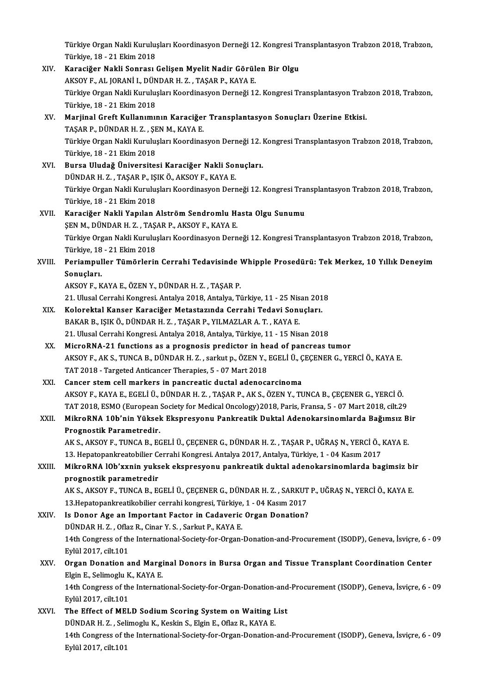Türkiye Organ Nakli Kuruluşları Koordinasyon Derneği 12. Kongresi Transplantasyon Trabzon 2018, Trabzon,<br>Türkiye 19., 21 Ekim 2018 Türkiye Organ Nakli Kurulu:<br>Türkiye, 18 - 21 Ekim 2018<br>Kanasižer Nakli Sannası Türkiye Organ Nakli Kuruluşları Koordinasyon Derneği 12. Kongresi Tr<br>Türkiye, 18 - 21 Ekim 2018<br>XIV. Karaciğer Nakli Sonrası Gelişen Myelit Nadir Görülen Bir Olgu<br>AKSOV E. AL JORANİ L DÜNDAR H.Z. TASAR R. KAYA E

- Türkiye, 18 21 Ekim 2018<br>Karaciğer Nakli Sonrası Gelişen Myelit Nadir Görül<br>AKSOY F., AL JORANİ I., DÜNDAR H. Z. , TAŞAR P., KAYA E.<br>Türkiye Orsan Nakli Kurulusları Koordinasyon Derneği 1 Karaciğer Nakli Sonrası Gelişen Myelit Nadir Görülen Bir Olgu<br>AKSOY F., AL JORANİ I., DÜNDAR H. Z. , TAŞAR P., KAYA E.<br>Türkiye Organ Nakli Kuruluşları Koordinasyon Derneği 12. Kongresi Transplantasyon Trabzon 2018, Trabzon AKSOY F., AL JORANİ I., DÜN<br>Türkiye Organ Nakli Kurulu;<br>Türkiye, 18 - 21 Ekim 2018<br>Mariinal Croft Kullanımı; Türkiye Organ Nakli Kuruluşları Koordinasyon Derneği 12. Kongresi Transplantasyon Trab<br>Türkiye, 18 - 21 Ekim 2018<br>XV. Marjinal Greft Kullanımının Karaciğer Transplantasyon Sonuçları Üzerine Etkisi.<br>TASAR R. DÜNDAR H. 7
- Türkiye, 18 21 Ekim 2018<br>Marjinal Greft Kullanımının Karaciğeı<br>TAŞAR P., DÜNDAR H. Z. , ŞEN M., KAYA E.<br>Türkiye Organ Nakli Kurulusları Keerdine Marjinal Greft Kullanımının Karaciğer Transplantasyon Sonuçları Üzerine Etkisi.<br>TAŞAR P., DÜNDAR H. Z. , ŞEN M., KAYA E.<br>Türkiye Organ Nakli Kuruluşları Koordinasyon Derneği 12. Kongresi Transplantasyon Trabzon 2018, Trabz TAŞAR P., DÜNDAR H. Z. , ŞE<br>Türkiye Organ Nakli Kurulu;<br>Türkiye, 18 - 21 Ekim 2018<br>Burga Hludağ Üniyarsita Türkiye Organ Nakli Kuruluşları Koordinasyon Derneği 12. |<br>Türkiye, 18 - 21 Ekim 2018<br>XVI. | Bursa Uludağ Üniversitesi Karaciğer Nakli Sonuçları.<br>| DÜNDAR H.Z., TASAR R. ISIKÖ AKSOVE, KAYA E
- Türkiye, 18 21 Ekim 2018<br>Bursa Uludağ Üniversitesi Karaciğer Nakli Sonuçları.<br>DÜNDAR H. Z. , TASAR P., ISIK Ö., AKSOY F., KAYA E. Türkiye Organ Nakli Kuruluşları Koordinasyon Derneği 12. Kongresi Transplantasyon Trabzon 2018, Trabzon, Türkiye,18 -21Ekim2018
- XVII. Karaciğer Nakli Yapılan Alström Sendromlu Hasta Olgu Sunumu Türkiye, 18 - 21 Ekim 2018<br>Karaciğer Nakli Yapılan Alström Sendromlu H.<br>ŞEN M., DÜNDAR H. Z. , TAŞAR P., AKSOY F., KAYA E.<br>Türkiye Organ Nakli Kurulusları Koordinesyen Dern Türkiye Organ Nakli Kuruluşları Koordinasyon Derneği 12. Kongresi Transplantasyon Trabzon 2018, Trabzon,<br>Türkiye, 18 - 21 Ekim 2018 ŞEN M., DÜNDAR H. Z. , TAŞ.<br>Türkiye Organ Nakli Kurulu;<br>Türkiye, 18 - 21 Ekim 2018<br>Periampuller Tümörlerin Türkiye Organ Nakli Kuruluşları Koordinasyon Derneği 12. Kongresi Transplantasyon Trabzon 2018, Trabzon,<br>Türkiye, 18 - 21 Ekim 2018<br>XVIII. Periampuller Tümörlerin Cerrahi Tedavisinde Whipple Prosedürü: Tek Merkez, 10 Y
- Türkiye, 18<br>Periampul<br>Sonuçları.<br>AKSOVE K Periampuller Tümörlerin Cerrahi Tedavisinde <mark>\</mark><br>Sonuçları.<br>AKSOY F., KAYA E., ÖZEN Y., DÜNDAR H. Z. , TAŞAR P.<br>21. Ulucal Cerrabi Kangresi, Antalya 2018, Antalya Ti Sonuçları.<br>AKSOY F., KAYA E., ÖZEN Y., DÜNDAR H. Z. , TAŞAR P.<br>21. Ulusal Cerrahi Kongresi. Antalya 2018, Antalya, Türkiye, 11 - 25 Nisan 2018

- XIX. Kolorektal Kanser Karaciğer Metastazında Cerrahi Tedavi Sonuçları. 21. Ulusal Cerrahi Kongresi. Antalya 2018, Antalya, Türkiye, 11 - 25 Nis<br>Kolorektal Kanser Karaciğer Metastazında Cerrahi Tedavi Sonı<br>BAKAR B., IŞIK Ö., DÜNDAR H. Z. , TAŞAR P., YILMAZLAR A. T. , KAYA E.<br>21. Ulusal Cerrahi BAKAR B., IŞIK Ö., DÜNDAR H. Z., TAŞAR P., YILMAZLAR A. T., KAYA E.<br>21. Ulusal Cerrahi Kongresi. Antalya 2018, Antalya, Türkiye, 11 - 15 Nisan 2018 BAKAR B., IŞIK Ö., DÜNDAR H. Z., TAŞAR P., YILMAZLAR A. T., KAYA E.<br>21. Ulusal Cerrahi Kongresi. Antalya 2018, Antalya, Türkiye, 11 - 15 Nisan 2018<br>XX. MicroRNA-21 functions as a prognosis predictor in head of pancreas tum
- AKSOY F., AK S., TUNCA B., DÜNDAR H. Z. , sarkut p., ÖZEN Y., EGELİ Ü., ÇEÇENER G., YERCİ Ö., KAYA E.<br>TAT 2018 Targeted Anticancer Therapies, 5 07 Mart 2018 MicroRNA-21 functions as a prognosis predictor in he<br>AKSOY F., AK S., TUNCA B., DÜNDAR H. Z. , sarkut p., ÖZEN Y.,<br>TAT 2018 - Targeted Anticancer Therapies, 5 - 07 Mart 2018<br>Cancer stam call markars in pangraatis dustal ad
- XXI. Cancer stem cell markers in pancreatic ductal adenocarcinoma AKSOYF.,KAYAE.,EGELİÜ.,DÜNDARH.Z. ,TAŞARP.,AKS.,ÖZENY.,TUNCAB.,ÇEÇENERG.,YERCİÖ. TAT 2018, ESMO (European Society for Medical Oncology)2018, Paris, Fransa, 5 - 07 Mart 2018, cilt.29 AKSOY F., KAYA E., EGELİ Ü., DÜNDAR H. Z. , TAŞAR P., AK S., ÖZEN Y., TUNCA B., ÇEÇENER G., YERCİ Ö.<br>TAT 2018, ESMO (European Society for Medical Oncology)2018, Paris, Fransa, 5 - 07 Mart 2018, cilt.29<br>XXII. MikroRNA 10b'n
- TAT 2018, ESMO (European)<br>MikroRNA 10b'nin Yüksel<br>Prognostik Parametredir.<br>AK S. AKSOV E. TUNCA B. EG MikroRNA 10b'nin Yüksek Ekspresyonu Pankreatik Duktal Adenokarsinomlarda Bağımsız B<br>Prognostik Parametredir.<br>AK S., AKSOY F., TUNCA B., EGELİ Ü., ÇEÇENER G., DÜNDAR H. Z. , TAŞAR P., UĞRAŞ N., YERCİ Ö., KAYA E.<br>12. Hanatan

Prognostik Parametredir.<br>AK S., AKSOY F., TUNCA B., EGELİ Ü., ÇEÇENER G., DÜNDAR H. Z. , TAŞAR P., UĞRAŞ N., YERCİ Ö., I<br>13. Hepatopankreatobilier Cerrahi Kongresi. Antalya 2017, Antalya, Türkiye, 1 - 04 Kasım 2017<br>Mikro R AK S., AKSOY F., TUNCA B., EGELİ Ü., ÇEÇENER G., DÜNDAR H. Z. , TAŞAR P., UĞRAŞ N., YERCİ Ö., KAYA E.<br>13. Hepatopankreatobilier Cerrahi Kongresi. Antalya 2017, Antalya, Türkiye, 1 - 04 Kasım 2017<br>XXIII. MikroRNA 10b'xxnin

13. Hepatopankreatobilier Conditional School<br>MikroRNA 10b'xxnin yuks<br>prognostik parametredir<br>AKS AKSOVE TUNCA B EQ MikroRNA lOb'xxnin yuksek ekspresyonu pankreatik duktal adenokarsinomlarda bagimsiz bi<br>prognostik parametredir<br>AK S., AKSOY F., TUNCA B., EGELİ Ü., ÇEÇENER G., DÜNDAR H. Z. , SARKUT P., UĞRAŞ N., YERCİ Ö., KAYA E.<br>12 Hanat

prognostik parametredir<br>AK S., AKSOY F., TUNCA B., EGELİ Ü., ÇEÇENER G., DÜNDAR H. Z. , SARKUT<br>13.Hepatopankreatikobilier cerrahi kongresi, Türkiye, 1 - 04 Kasım 2017<br>Is Dener Age an Imnertant Easter in Cadayeris Orsan Den AK S., AKSOY F., TUNCA B., EGELI Ü., ÇEÇENER G., DÜNDAR H. Z., SARKUT<br>13.Hepatopankreatikobilier cerrahi kongresi, Türkiye, 1 - 04 Kasım 2017<br>XXIV. Is Donor Age an Important Factor in Cadaveric Organ Donation?<br>DÜNDAR H. Z.

- 13.Hepatopankreatikobilier cerrahi kongresi, Türkiye,<br>Is Donor Age an Important Factor in Cadaveric<br>DÜNDAR H. Z. , Oflaz R., Cinar Y. S. , Sarkut P., KAYA E.<br>14th Congress of the International Society for Organ Is Donor Age an Important Factor in Cadaveric Organ Donation?<br>DÜNDAR H. Z. , Oflaz R., Cinar Y. S. , Sarkut P., KAYA E.<br>14th Congress of the International-Society-for-Organ-Donation-and-Procurement (ISODP), Geneva, İsviçre DÜNDAR H. Z. , Ofla:<br>14th Congress of th<br>Eylül 2017, cilt.101<br>Organ Donation a 14th Congress of the International-Society-for-Organ-Donation-and-Procurement (ISODP), Geneva, İsviçre, 6 - (<br>Eylül 2017, cilt.101<br>XXV. Organ Donation and Marginal Donors in Bursa Organ and Tissue Transplant Coordination C
- Eylül 2017, cilt.101<br>Organ Donation and Margi<br>Elgin E., Selimoglu K., KAYA E.<br>14th Congrees of the Internat Organ Donation and Marginal Donors in Bursa Organ and Tissue Transplant Coordination Center<br>Elgin E., Selimoglu K., KAYA E.<br>14th Congress of the International-Society-for-Organ-Donation-and-Procurement (ISODP), Geneva, İsv Elgin E., Selimoglu K<br>14th Congress of th<br>Eylül 2017, cilt.101<br>The Effect of MEI 14th Congress of the International-Society-for-Organ-Donation-and<br>Eylül 2017, cilt.101<br>XXVI. The Effect of MELD Sodium Scoring System on Waiting List<br>DÜNDAR H.Z. Solimagly K. Koskin S. Elgin E. Oflag R. KAVA E.
- Eylül 2017, cilt.101<br>The Effect of MELD Sodium Scoring System on Waiting L<br>DÜNDAR H. Z. , Selimoglu K., Keskin S., Elgin E., Oflaz R., KAYA E.<br>14th Congress of the International Sesiety for Orsen Denstien The Effect of MELD Sodium Scoring System on Waiting List<br>DÜNDAR H. Z. , Selimoglu K., Keskin S., Elgin E., Oflaz R., KAYA E.<br>14th Congress of the International-Society-for-Organ-Donation-and-Procurement (ISODP), Geneva, İs DÜNDAR H. Z. , Seli<br>14th Congress of tl<br>Eylül 2017, cilt.101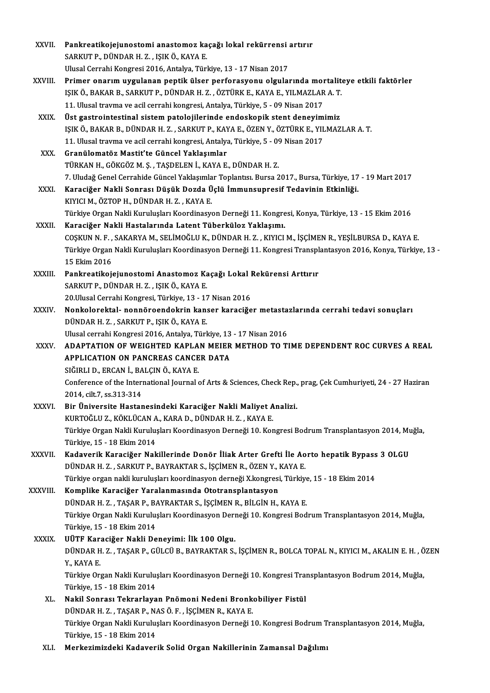| XXVII.       | Pankreatikojejunostomi anastomoz kaçağı lokal rekürrensi artırır                                               |
|--------------|----------------------------------------------------------------------------------------------------------------|
|              | SARKUT P., DÜNDAR H. Z., IŞIK Ö., KAYA E.                                                                      |
|              | Ulusal Cerrahi Kongresi 2016, Antalya, Türkiye, 13 - 17 Nisan 2017                                             |
| XXVIII.      | Primer onarım uygulanan peptik ülser perforasyonu olgularında mortaliteye etkili faktörler                     |
|              | IŞIK Ö., BAKAR B., SARKUT P., DÜNDAR H. Z., ÖZTÜRK E., KAYA E., YILMAZLAR A. T.                                |
|              | 11. Ulusal travma ve acil cerrahi kongresi, Antalya, Türkiye, 5 - 09 Nisan 2017                                |
| XXIX.        | Üst gastrointestinal sistem patolojilerinde endoskopik stent deneyimimiz                                       |
|              | IŞIK Ö., BAKAR B., DÜNDAR H. Z., SARKUT P., KAYA E., ÖZEN Y., ÖZTÜRK E., YILMAZLAR A. T.                       |
|              | 11. Ulusal travma ve acil cerrahi kongresi, Antalya, Türkiye, 5 - 09 Nisan 2017                                |
| XXX.         | Granülomatöz Mastit'te Güncel Yaklaşımlar                                                                      |
|              | TÜRKAN H., GÖKGÖZ M. Ş., TAŞDELEN İ., KAYA E., DÜNDAR H. Z.                                                    |
|              | 7. Uludağ Genel Cerrahide Güncel Yaklaşımlar Toplantısı. Bursa 2017., Bursa, Türkiye, 17 - 19 Mart 2017        |
| XXXI.        | Karaciğer Nakli Sonrası Düşük Dozda Üçlü İmmunsupresif Tedavinin Etkinliği.                                    |
|              | KIYICI M., ÖZTOP H., DÜNDAR H. Z., KAYA E.                                                                     |
|              | Türkiye Organ Nakli Kuruluşları Koordinasyon Derneği 11. Kongresi, Konya, Türkiye, 13 - 15 Ekim 2016           |
| XXXII.       | Karaciğer Nakli Hastalarında Latent Tüberküloz Yaklaşımı.                                                      |
|              | COŞKUN N.F., SAKARYA M., SELİMOĞLU K., DÜNDAR H.Z., KIYICI M., İŞÇİMEN R., YEŞİLBURSA D., KAYA E.              |
|              | Türkiye Organ Nakli Kuruluşları Koordinasyon Derneği 11. Kongresi Transplantasyon 2016, Konya, Türkiye, 13 -   |
|              | 15 Ekim 2016                                                                                                   |
| XXXIII.      | Pankreatikojejunostomi Anastomoz Kaçağı Lokal Rekürensi Arttırır                                               |
|              | SARKUT P., DÜNDAR H. Z., IŞIK Ö., KAYA E.                                                                      |
|              | 20. Ulusal Cerrahi Kongresi, Türkiye, 13 - 17 Nisan 2016                                                       |
| XXXIV.       | Nonkolorektal- nonnöroendokrin kanser karaciğer metastazlarında cerrahi tedavi sonuçları                       |
|              | DÜNDAR H. Z., SARKUT P., IŞIK Ö., KAYA E.                                                                      |
|              | Ulusal cerrahi Kongresi 2016, Antalya, Türkiye, 13 - 17 Nisan 2016                                             |
| XXXV.        | ADAPTATION OF WEIGHTED KAPLAN MEIER METHOD TO TIME DEPENDENT ROC CURVES A REAL                                 |
|              | <b>APPLICATION ON PANCREAS CANCER DATA</b>                                                                     |
|              | SIĞIRLI D., ERCAN İ., BALÇIN Ö., KAYA E.                                                                       |
|              | Conference of the International Journal of Arts & Sciences, Check Rep., prag, Çek Cumhuriyeti, 24 - 27 Haziran |
| XXXVI.       | 2014, cilt 7, ss 313-314<br>Bir Üniversite Hastanesindeki Karaciğer Nakli Maliyet Analizi.                     |
|              | KURTOĞLU Z., KÖKLÜCAN A., KARA D., DÜNDAR H. Z. , KAYA E.                                                      |
|              | Türkiye Organ Nakli Kuruluşları Koordinasyon Derneği 10. Kongresi Bodrum Transplantasyon 2014, Muğla,          |
|              | Türkiye, 15 - 18 Ekim 2014                                                                                     |
| XXXVII.      | Kadaverik Karaciğer Nakillerinde Donör İliak Arter Grefti İle Aorto hepatik Bypass 3 OLGU                      |
|              | DÜNDAR H. Z., SARKUT P., BAYRAKTAR S., İŞÇİMEN R., ÖZEN Y., KAYA E.                                            |
|              | Türkiye organ nakli kuruluşları koordinasyon derneği X.kongresi, Türkiye, 15 - 18 Ekim 2014                    |
| XXXVIII.     | Komplike Karaciğer Yaralanmasında Ototransplantasyon                                                           |
|              | DÜNDAR H. Z., TAŞAR P., BAYRAKTAR S., İŞÇİMEN R., BİLGİN H., KAYA E.                                           |
|              | Türkiye Organ Nakli Kuruluşları Koordinasyon Derneği 10. Kongresi Bodrum Transplantasyon 2014, Muğla,          |
|              | Türkiye, 15 - 18 Ekim 2014                                                                                     |
| <b>XXXIX</b> | UÜTF Karaciğer Nakli Deneyimi: İlk 100 Olgu.                                                                   |
|              | DÜNDAR H. Z., TAŞAR P., GÜLCÜ B., BAYRAKTAR S., İŞÇİMEN R., BOLCA TOPAL N., KIYICI M., AKALIN E. H., ÖZEN      |
|              | Y, KAYA E                                                                                                      |
|              | Türkiye Organ Nakli Kuruluşları Koordinasyon Derneği 10. Kongresi Transplantasyon Bodrum 2014, Muğla,          |
|              | Türkiye, 15 - 18 Ekim 2014                                                                                     |
| XL.          | Nakil Sonrası Tekrarlayan Pnömoni Nedeni Bronkobiliyer Fistül                                                  |
|              | DÜNDAR H. Z., TAŞAR P., NAS Ö. F., İŞÇİMEN R., KAYA E.                                                         |
|              | Türkiye Organ Nakli Kuruluşları Koordinasyon Derneği 10. Kongresi Bodrum Transplantasyon 2014, Muğla,          |
|              | Türkiye, 15 - 18 Ekim 2014                                                                                     |
| XLI.         | Merkezimizdeki Kadaverik Solid Organ Nakillerinin Zamansal Dağılımı                                            |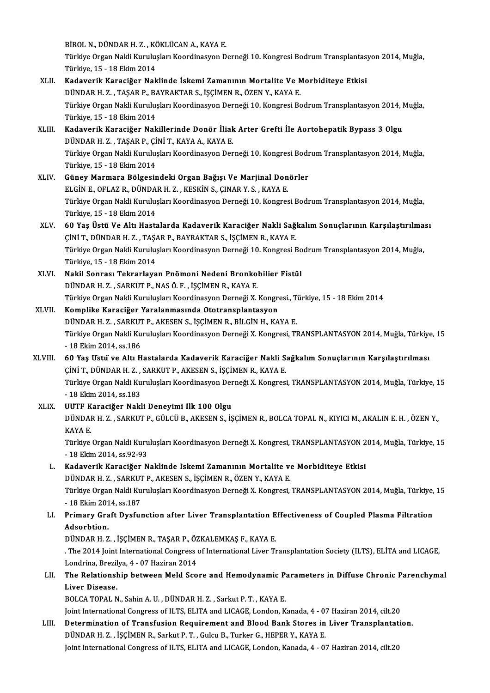BİROL N., DÜNDAR H. Z. , KÖKLÜCAN A., KAYA E.<br>Türkiye Organ Nakli Kurulusları Keçminasyon D

Türkiye Organ Nakli Kuruluşları Koordinasyon Derneği 10. Kongresi Bodrum Transplantasyon 2014, Muğla,<br>Türkiye, 15 - 18 Ekim 2014 BİROL N., DÜNDAR H. Z. , KÖ<br>Türkiye Organ Nakli Kurulu;<br>Türkiye, 15 - 18 Ekim 2014<br>Kadayanik Kanasiğan Nak Türkiye Organ Nakli Kuruluşları Koordinasyon Derneği 10. Kongresi Bodrum Transplantası<br>Türkiye, 15 - 18 Ekim 2014<br>XLII. Kadaverik Karaciğer Naklinde İskemi Zamanının Mortalite Ve Morbiditeye Etkisi

- Türkiye, 15 18 Ekim 2014<br>Kadaverik Karaciğer Naklinde İskemi Zamanının Mortalite Ve N<br>DÜNDAR H. Z. , TAŞAR P., BAYRAKTAR S., İŞÇİMEN R., ÖZEN Y., KAYA E.<br>Türkiye Organ Nakli Kurulusları Keordinasyon Derneği 10 Kongresi B Kadaverik Karaciğer Naklinde İskemi Zamanının Mortalite Ve Morbiditeye Etkisi<br>DÜNDAR H. Z. , TAŞAR P., BAYRAKTAR S., İŞÇİMEN R., ÖZEN Y., KAYA E.<br>Türkiye Organ Nakli Kuruluşları Koordinasyon Derneği 10. Kongresi Bodrum Tra DÜNDAR H. Z. , TAŞAR P., BAYRAKTAR S., İŞÇİMEN R., ÖZEN Y., KAYA E.<br>Türkiye Organ Nakli Kuruluşları Koordinasyon Derneği 10. Kongresi Bo<br>Türkiye, 15 - 18 Ekim 2014 Türkiye Organ Nakli Kuruluşları Koordinasyon Derneği 10. Kongresi Bodrum Transplantasyon 2014, I<br>Türkiye, 15 - 18 Ekim 2014<br>XLIII. Kadaverik Karaciğer Nakillerinde Donör İliak Arter Grefti İle Aortohepatik Bypass 3 Olgu<br>DÜ
- Kadaverik Karaciğer Nakillerinde Donör İliak Arter Grefti İle Aortohepatik Bypass 3 Olgu<br>DÜNDAR H. Z. , TASAR P., CİNİ T., KAYA A., KAYA E. Kadaverik Karaciğer Nakillerinde Donör İliak Arter Grefti İle Aortohepatik Bypass 3 Olgu<br>DÜNDAR H. Z. , TAŞAR P., ÇİNİ T., KAYA A., KAYA E.<br>Türkiye Organ Nakli Kuruluşları Koordinasyon Derneği 10. Kongresi Bodrum Transplan DÜNDAR H. Z. , TAŞAR P., Çİ<br>Türkiye Organ Nakli Kurulu;<br>Türkiye, 15 - 18 Ekim 2014<br>Cünev Marmara Bölgəsi; Türkiye Organ Nakli Kuruluşları Koordinasyon Derneği 10. Kongresi Bodr<br>Türkiye, 15 - 18 Ekim 2014<br>XLIV. Güney Marmara Bölgesindeki Organ Bağışı Ve Marjinal Donörler<br>ELGİNE OELAZ BUDÜNDAR HUZUKEK'NIS GINAR V.SUKANE
- Türkiye, 15 18 Ekim 2014<br>Güney Marmara Bölgesindeki Organ Bağışı Ve Marjinal Donörler<br>ELGİN E., OFLAZ R., DÜNDAR H. Z. , KESKİN S., ÇINAR Y. S. , KAYA E. Türkiye Organ Nakli Kuruluşları Koordinasyon Derneği 10. Kongresi Bodrum Transplantasyon 2014, Muğla, Türkiye,15 -18Ekim2014 Türkiye Organ Nakli Kuruluşları Koordinasyon Derneği 10. Kongresi Bodrum Transplantasyon 2014, Muğla,<br>Türkiye, 15 - 18 Ekim 2014<br>XLV. 60 Yaş Üstü Ve Altı Hastalarda Kadaverik Karaciğer Nakli Sağkalım Sonuçlarının Karşılaşt
- Türkiye, 15 18 Ekim 2014<br>60 Yaş Üstü Ve Altı Hastalarda Kadaverik Karaciğer Nakli Sağı<br>ÇİNİ T., DÜNDAR H. Z. , TAŞAR P., BAYRAKTAR S., İŞÇİMEN R., KAYA E.<br>Türkiye Organ Nakli Kurulusları Kaspdinasyan Darnaği 10 Kangresi 60 Yaş Üstü Ve Altı Hastalarda Kadaverik Karaciğer Nakli Sağkalım Sonuçlarının Karşılaştırılma<br>ÇİNİ T., DÜNDAR H. Z. , TAŞAR P., BAYRAKTAR S., İŞÇİMEN R., KAYA E.<br>Türkiye Organ Nakli Kuruluşları Koordinasyon Derneği 10. Ko ÇİNİ T., DÜNDAR H. Z. , TAŞAR P., BAYRAKTAR S., İŞÇİMEN R., KAYA E.<br>Türkiye Organ Nakli Kuruluşları Koordinasyon Derneği 10. Kongresi Bodrum Transplantasyon 2014, Muğla,<br>Türkiye, 15 - 18 Ekim 2014 Türkiye Organ Nakli Kuruluşları Koordinasyon Derneği 10. Kongresi Bo<br>Türkiye, 15 - 18 Ekim 2014<br>XLVI. Nakil Sonrası Tekrarlayan Pnömoni Nedeni Bronkobilier Fistül<br>DÜNDAR H. Z. SARKUTR NASÖ E. İSCİMEN R. KAYA E
- Türkiye, 15 18 Ekim 2014<br><mark>Nakil Sonrası Tekrarlayan Pnömoni Nedeni Bronko</mark><br>DÜNDAR H. Z. , SARKUT P., NAS Ö. F. , İŞÇİMEN R., KAYA E.<br>Türkiye Organ Nakli Kurulusları Keordinasyon Derneği Y DÜNDAR H. Z. , SARKUT P., NAS Ö. F. , İŞÇİMEN R., KAYA E.<br>Türkiye Organ Nakli Kuruluşları Koordinasyon Derneği X. Kongresi., Türkiye, 15 - 18 Ekim 2014

## XLVII. Komplike Karaciğer Yaralanmasında Ototransplantasyon Türkiye Organ Nakli Kuruluşları Koordinasyon Derneği X. Kongresi., T<br><mark>Komplike Karaciğer Yaralanmasında Ototransplantasyon</mark><br>DÜNDAR H. Z. , SARKUT P., AKESEN S., İŞÇİMEN R., BİLGİN H., KAYA E.<br>Türkiye Organ Nakli Kuruluşlar

- Türkiye Organ Nakli Kuruluşları Koordinasyon Derneği X. Kongresi, TRANSPLANTASYON 2014, Muğla, Türkiye, 15<br>- 18 Ekim 2014, ss.186 DÜNDAR H. Z. , SARKUT<br>Türkiye Organ Nakli Ku<br>- 18 Ekim 2014, ss.186<br>60 Yas Hatii ya Altı H Türkiye Organ Nakli Kuruluşları Koordinasyon Derneği X. Kongresi, TRANSPLANTASYON 2014, Muğla, Türkiye<br>18 Ekim 2014, ss.186<br>XLVIII. 60 Yaş Ustü' ve Altı Hastalarda Kadaverik Karaciğer Nakli Sağkalım Sonuçlarının Karşıl
- 18 Ekim 2014, ss.186<br>60 Yaş Ustu ve Altı Hastalarda Kadaverik Karaciğer Nakli S.<br>ÇİNİ T., DÜNDAR H. Z. , SARKUT P., AKESEN S., İŞÇİMEN R., KAYA E.<br>Türkiye Organ Nakli Kurulusları Kasadinasyon Derneği Y. Kangresi 60 Yaş Ustu ve Altı Hastalarda Kadaverik Karaciğer Nakli Sağkalım Sonuçlarının Karşılaştırılması<br>ÇİNİ T., DÜNDAR H. Z. , SARKUT P., AKESEN S., İŞÇİMEN R., KAYA E.<br>Türkiye Organ Nakli Kuruluşları Koordinasyon Derneği X. Kon ÇİNİ T., DÜNDAR H. Z. ,<br>Türkiye Organ Nakli Ku<br>- 18 Ekim 2014, ss.183<br>UUTE Kanasižan Nakl Türkiye Organ Nakli Kuruluşları Koordinasyon Der<br>- 18 Ekim 2014, ss.183<br>XLIX. UUTF Karaciğer Nakli Deneyimi İlk 100 Olgu<br>- DÜNDAR H. Z., SARKUTR, CÜLCÜ B. AKESEN S. İS
- 18 Ekim 2014, ss.183<br>UUTF Karaciğer Nakli Deneyimi Ilk 100 Olgu<br>DÜNDAR H. Z. , SARKUT P., GÜLCÜ B., AKESEN S., İŞÇİMEN R., BOLCA TOPAL N., KIYICI M., AKALIN E. H. , ÖZEN Y.,<br>KAVA F **UUTF K<br>DÜNDAI<br>KAYA E.**<br>Türkiye DÜNDAR H. Z. , SARKUT P., GÜLCÜ B., AKESEN S., İŞÇİMEN R., BOLCA TOPAL N., KIYICI M., AKALIN E. H. , ÖZEN Y.,<br>KAYA E.<br>Türkiye Organ Nakli Kuruluşları Koordinasyon Derneği X. Kongresi, TRANSPLANTASYON 2014, Muğla, Türkiye,

KAYA E.<br>Türkiye Organ Nakli Kuruluşları Koordinasyon Derneği X. Kongresi, TRANSPLANTASYON 2014, Muğla, Türkiye, 15<br>- 18 Ekim 2014, ss.92-93 Türkiye Organ Nakli Kuruluşları Koordinasyon Derneği X. Kongresi, TRANSPLANTASYON 2<br>18 Ekim 2014, ss.92-93<br>L. Kadaverik Karaciğer Naklinde Iskemi Zamanının Mortalite ve Morbiditeye Etkisi<br>DÜNDAR H.Z. SARKUTR AKESEN S. İSCİ

- 18 Ekim 2014, ss.92-93<br>Kadaverik Karaciğer Naklinde Iskemi Zamanının Mortalite v<br>DÜNDAR H. Z. , SARKUT P., AKESEN S., İŞÇİMEN R., ÖZEN Y., KAYA E.<br>Türkiye Organ Nakli Kurulusları Keerdinasyon Derneği Y. Kongresi Kadaverik Karaciğer Naklinde Iskemi Zamanının Mortalite ve Morbiditeye Etkisi<br>DÜNDAR H. Z. , SARKUT P., AKESEN S., İŞÇİMEN R., ÖZEN Y., KAYA E.<br>Türkiye Organ Nakli Kuruluşları Koordinasyon Derneği X. Kongresi, TRANSPLANTAS DÜNDAR H. Z. , SARKUT<br>Türkiye Organ Nakli Ku<br>- 18 Ekim 2014, ss.187<br>Primaru Graft Ducfut

## Türkiye Organ Nakli Kuruluşları Koordinasyon Derneği X. Kongresi, TRANSPLANTASYON 2014, Muğla, Türkiye,<br>18 Ekim 2014, ss.187<br>LI. Primary Graft Dysfunction after Liver Transplantation Effectiveness of Coupled Plasma Filtrat - 18 Ekim 2014, ss.187<br>LI. Primary Graft Dysfunction after Liver Transplantation Effectiveness of Coupled Plasma Filtration<br>Adsorbtion. Primary Graft Dysfunction after Liver Transplantation E<br>Adsorbtion.<br>DÜNDAR H. Z. , İŞÇİMEN R., TAŞAR P., ÖZKALEMKAŞ F., KAYA E.<br>The 2014 Jeint International Congress of International Liver Tr

. The 2014 Joint International Congress of International Liver Transplantation Society (ILTS), ELİTA and LICAGE, DÜNDAR H. Z. , İŞÇİMEN R., TAŞAR P., ÖZ<br>. The 2014 Joint International Congress<br>Londrina, Brezilya, 4 - 07 Haziran 2014<br>The Bolationshin hatuson Meld Sse The 2014 Joint International Congress of International Liver Transplantation Society (ILTS), ELİTA and LICAGE,<br>Londrina, Brezilya, 4 - 07 Haziran 2014<br>LII. The Relationship between Meld Score and Hemodynamic Parameters in

## Londrina, Brezilya, 4 - 07 Haziran 2014<br>The Relationship between Meld Score and Hemodynamic Pa<br>Liver Disease.<br>BOLCA TOPAL N., Sahin A. U. , DÜNDAR H. Z. , Sarkut P. T. , KAYA E. The Relationship between Meld Score and Hemodynamic P:<br>Liver Disease.<br>BOLCA TOPAL N., Sahin A.U. , DÜNDAR H. Z. , Sarkut P. T. , KAYA E.<br>Joint International Congress of U.TS. ELITA and LICACE London. K Liver Disease.<br>BOLCA TOPAL N., Sahin A. U. , DÜNDAR H. Z. , Sarkut P. T. , KAYA E.<br>Joint International Congress of ILTS, ELITA and LICAGE, London, Kanada, 4 - 07 Haziran 2014, cilt.20<br>Determination of Transfusion Boquineme

## BOLCA TOPAL N., Sahin A. U. , DÜNDAR H. Z. , Sarkut P. T. , KAYA E.<br>Joint International Congress of ILTS, ELITA and LICAGE, London, Kanada, 4 - 07 Haziran 2014, cilt.20<br>LIII. Determination of Transfusion Requirement and Bl Joint International Congress of ILTS, ELITA and LICAGE, London, Kanada, 4 - 0?<br>Determination of Transfusion Requirement and Blood Bank Stores in<br>DÜNDAR H. Z. , İŞÇİMEN R., Sarkut P. T. , Gulcu B., Turker G., HEPER Y., KAYA Determination of Transfusion Requirement and Blood Bank Stores in Liver Transplantation.<br>DÜNDAR H. Z. , İŞÇİMEN R., Sarkut P. T. , Gulcu B., Turker G., HEPER Y., KAYA E.<br>Joint International Congress of ILTS, ELITA and LICA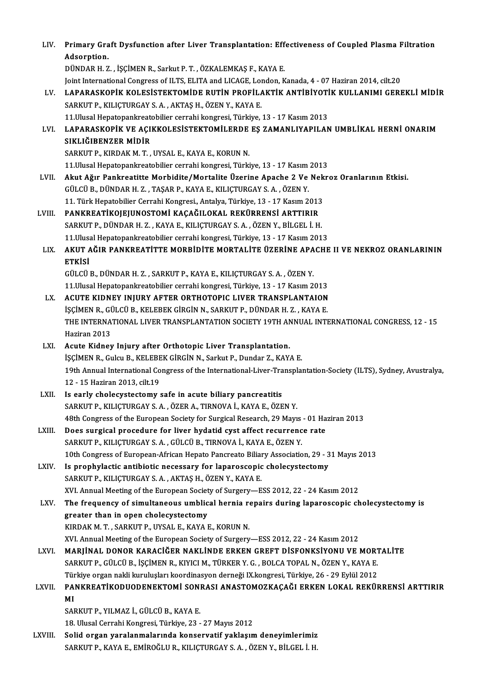| LIV.         | Primary Graft Dysfunction after Liver Transplantation: Effectiveness of Coupled Plasma Filtration                                             |
|--------------|-----------------------------------------------------------------------------------------------------------------------------------------------|
|              | Adsorption.                                                                                                                                   |
|              | DÜNDAR H. Z., İŞÇİMEN R., Sarkut P. T., ÖZKALEMKAŞ F., KAYA E.                                                                                |
|              | Joint International Congress of ILTS, ELITA and LICAGE, London, Kanada, 4 - 07 Haziran 2014, cilt.20                                          |
| LV.          | LAPARASKOPİK KOLESİSTEKTOMİDE RUTİN PROFİLAKTİK ANTİBİYOTİK KULLANIMI GEREKLİ MİDİR                                                           |
|              | SARKUT P., KILIÇTURGAY S. A., AKTAŞ H., ÖZEN Y., KAYA E.                                                                                      |
|              | 11. Ulusal Hepatopankreatobilier cerrahi kongresi, Türkiye, 13 - 17 Kasım 2013                                                                |
| LVI.         | LAPARASKOPİK VE AÇIKKOLESİSTEKTOMİLERDE EŞ ZAMANLIYAPILAN UMBLİKAL HERNİ ONARIM<br>SIKLIĞIBENZER MİDİR                                        |
|              | SARKUT P., KIRDAK M. T., UYSAL E., KAYA E., KORUN N.                                                                                          |
|              | 11. Ulusal Hepatopankreatobilier cerrahi kongresi, Türkiye, 13 - 17 Kasım 2013                                                                |
| LVII.        | Akut Ağır Pankreatitte Morbidite/Mortalite Üzerine Apache 2 Ve Nekroz Oranlarının Etkisi.                                                     |
|              | GÜLCÜ B., DÜNDAR H. Z., TAŞAR P., KAYA E., KILIÇTURGAY S. A., ÖZEN Y.                                                                         |
|              | 11. Türk Hepatobilier Cerrahi Kongresi, Antalya, Türkiye, 13 - 17 Kasım 2013                                                                  |
| LVIII.       | PANKREATİKOJEJUNOSTOMİ KAÇAĞILOKAL REKÜRRENSİ ARTTIRIR                                                                                        |
|              | SARKUT P., DÜNDAR H. Z., KAYA E., KILIÇTURGAY S. A., ÖZEN Y., BİLGEL İ. H.                                                                    |
|              | 11. Ulusal Hepatopankreatobilier cerrahi kongresi, Türkiye, 13 - 17 Kasım 2013                                                                |
| LIX.         | AKUT AĞIR PANKREATİTTE MORBİDİTE MORTALİTE ÜZERİNE APACHE II VE NEKROZ ORANLARININ                                                            |
|              | <b>ETKISI</b>                                                                                                                                 |
|              | GÜLCÜ B., DÜNDAR H. Z., SARKUT P., KAYA E., KILIÇTURGAY S. A., ÖZEN Y.                                                                        |
|              | 11. Ulusal Hepatopankreatobilier cerrahi kongresi, Türkiye, 13 - 17 Kasım 2013                                                                |
| LX.          | ACUTE KIDNEY INJURY AFTER ORTHOTOPIC LIVER TRANSPLANTAION<br>İŞÇİMEN R., GÜLCÜ B., KELEBEK GİRGİN N., SARKUT P., DÜNDAR H. Z. , KAYA E.       |
|              | THE INTERNATIONAL LIVER TRANSPLANTATION SOCIETY 19TH ANNUAL INTERNATIONAL CONGRESS, 12 - 15                                                   |
|              | Haziran 2013                                                                                                                                  |
| LXI.         | Acute Kidney Injury after Orthotopic Liver Transplantation.                                                                                   |
|              | İŞÇİMEN R., Gulcu B., KELEBEK GİRGİN N., Sarkut P., Dundar Z., KAYA E.                                                                        |
|              | 19th Annual International Congress of the International-Liver-Transplantation-Society (ILTS), Sydney, Avustralya,                             |
|              | 12 - 15 Haziran 2013. cilt.19                                                                                                                 |
| LXII.        | Is early cholecystectomy safe in acute biliary pancreatitis                                                                                   |
|              | SARKUT P., KILIÇTURGAY S. A., ÖZER A., TIRNOVA İ., KAYA E., ÖZEN Y.                                                                           |
|              | 48th Congress of the European Society for Surgical Research, 29 Mayıs - 01 Haziran 2013                                                       |
| LXIII.       | Does surgical procedure for liver hydatid cyst affect recurrence rate<br>SARKUT P., KILIÇTURGAY S. A., GÜLCÜ B., TIRNOVA İ., KAYA E., ÖZEN Y. |
|              | 10th Congress of European-African Hepato Pancreato Biliary Association, 29 - 31 Mayıs 2013                                                    |
| LXIV.        | Is prophylactic antibiotic necessary for laparoscopic cholecystectomy                                                                         |
|              | SARKUT P., KILIÇTURGAY S. A., AKTAŞ H., ÖZEN Y., KAYA E.                                                                                      |
|              | XVI. Annual Meeting of the European Society of Surgery-ESS 2012, 22 - 24 Kasım 2012                                                           |
| LXV.         | The frequency of simultaneous umblical hernia repairs during laparoscopic cholecystectomy is                                                  |
|              | greater than in open cholecystectomy                                                                                                          |
|              | KIRDAK M. T., SARKUT P., UYSAL E., KAYA E., KORUN N.                                                                                          |
|              | XVI. Annual Meeting of the European Society of Surgery-ESS 2012, 22 - 24 Kasım 2012                                                           |
| LXVI.        | MARJİNAL DONOR KARACİĞER NAKLİNDE ERKEN GREFT DİSFONKSİYONU VE MORTALİTE                                                                      |
|              | SARKUT P., GÜLCÜ B., İŞÇİMEN R., KIYICI M., TÜRKER Y. G., BOLCA TOPAL N., ÖZEN Y., KAYA E.                                                    |
|              | Türkiye organ nakli kuruluşları koordinasyon derneği IX.kongresi, Türkiye, 26 - 29 Eylül 2012                                                 |
| <b>LXVII</b> | PANKREATİKODUODENEKTOMİ SONRASI ANASTOMOZKAÇAĞI ERKEN LOKAL REKÜRRENSİ ARTTIRIR                                                               |
|              | MI<br>SARKUT P., YILMAZ İ., GÜLCÜ B., KAYA E.                                                                                                 |
|              | 18. Ulusal Cerrahi Kongresi, Türkiye, 23 - 27 Mayıs 2012                                                                                      |
| LXVIII.      | Solid organ yaralanmalarında konservatif yaklaşım deneyimlerimiz                                                                              |
|              | SARKUT P., KAYA E., EMİROĞLU R., KILIÇTURGAY S. A. , ÖZEN Y., BİLGEL İ. H.                                                                    |
|              |                                                                                                                                               |